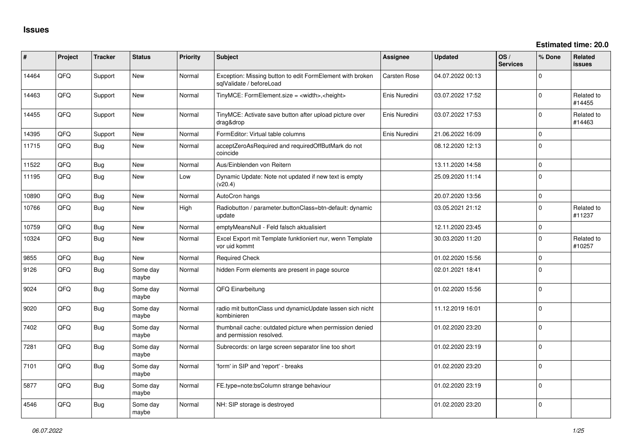| ∦     | Project | <b>Tracker</b> | <b>Status</b>     | <b>Priority</b> | <b>Subject</b>                                                                        | <b>Assignee</b> | <b>Updated</b>   | OS/<br><b>Services</b> | % Done       | Related<br>issues    |
|-------|---------|----------------|-------------------|-----------------|---------------------------------------------------------------------------------------|-----------------|------------------|------------------------|--------------|----------------------|
| 14464 | QFQ     | Support        | <b>New</b>        | Normal          | Exception: Missing button to edit FormElement with broken<br>sqlValidate / beforeLoad | Carsten Rose    | 04.07.2022 00:13 |                        | $\Omega$     |                      |
| 14463 | QFQ     | Support        | <b>New</b>        | Normal          | TinyMCE: FormElement.size = <width>,<height></height></width>                         | Enis Nuredini   | 03.07.2022 17:52 |                        | $\Omega$     | Related to<br>#14455 |
| 14455 | QFQ     | Support        | <b>New</b>        | Normal          | TinyMCE: Activate save button after upload picture over<br>drag&drop                  | Enis Nuredini   | 03.07.2022 17:53 |                        | $\Omega$     | Related to<br>#14463 |
| 14395 | QFQ     | Support        | New               | Normal          | FormEditor: Virtual table columns                                                     | Enis Nuredini   | 21.06.2022 16:09 |                        | $\mathbf 0$  |                      |
| 11715 | QFQ     | <b>Bug</b>     | <b>New</b>        | Normal          | acceptZeroAsRequired and requiredOffButMark do not<br>coincide                        |                 | 08.12.2020 12:13 |                        | $\Omega$     |                      |
| 11522 | QFQ     | <b>Bug</b>     | <b>New</b>        | Normal          | Aus/Einblenden von Reitern                                                            |                 | 13.11.2020 14:58 |                        | $\mathbf 0$  |                      |
| 11195 | QFQ     | <b>Bug</b>     | New               | Low             | Dynamic Update: Note not updated if new text is empty<br>(v20.4)                      |                 | 25.09.2020 11:14 |                        | $\mathbf 0$  |                      |
| 10890 | QFQ     | <b>Bug</b>     | <b>New</b>        | Normal          | AutoCron hangs                                                                        |                 | 20.07.2020 13:56 |                        | $\mathbf 0$  |                      |
| 10766 | QFQ     | <b>Bug</b>     | <b>New</b>        | High            | Radiobutton / parameter.buttonClass=btn-default: dynamic<br>update                    |                 | 03.05.2021 21:12 |                        | $\Omega$     | Related to<br>#11237 |
| 10759 | QFQ     | <b>Bug</b>     | <b>New</b>        | Normal          | emptyMeansNull - Feld falsch aktualisiert                                             |                 | 12.11.2020 23:45 |                        | $\mathbf 0$  |                      |
| 10324 | QFQ     | <b>Bug</b>     | New               | Normal          | Excel Export mit Template funktioniert nur, wenn Template<br>vor uid kommt            |                 | 30.03.2020 11:20 |                        | $\Omega$     | Related to<br>#10257 |
| 9855  | QFQ     | <b>Bug</b>     | <b>New</b>        | Normal          | <b>Required Check</b>                                                                 |                 | 01.02.2020 15:56 |                        | $\mathbf 0$  |                      |
| 9126  | QFQ     | <b>Bug</b>     | Some day<br>maybe | Normal          | hidden Form elements are present in page source                                       |                 | 02.01.2021 18:41 |                        | $\mathbf 0$  |                      |
| 9024  | QFQ     | <b>Bug</b>     | Some day<br>maybe | Normal          | QFQ Einarbeitung                                                                      |                 | 01.02.2020 15:56 |                        | $\mathbf{0}$ |                      |
| 9020  | QFQ     | <b>Bug</b>     | Some day<br>maybe | Normal          | radio mit buttonClass und dynamicUpdate lassen sich nicht<br>kombinieren              |                 | 11.12.2019 16:01 |                        | $\Omega$     |                      |
| 7402  | QFQ     | <b>Bug</b>     | Some day<br>maybe | Normal          | thumbnail cache: outdated picture when permission denied<br>and permission resolved.  |                 | 01.02.2020 23:20 |                        | $\mathbf 0$  |                      |
| 7281  | QFQ     | <b>Bug</b>     | Some day<br>maybe | Normal          | Subrecords: on large screen separator line too short                                  |                 | 01.02.2020 23:19 |                        | $\Omega$     |                      |
| 7101  | QFQ     | <b>Bug</b>     | Some day<br>maybe | Normal          | 'form' in SIP and 'report' - breaks                                                   |                 | 01.02.2020 23:20 |                        | $\Omega$     |                      |
| 5877  | QFQ     | <b>Bug</b>     | Some day<br>maybe | Normal          | FE.type=note:bsColumn strange behaviour                                               |                 | 01.02.2020 23:19 |                        | $\mathbf 0$  |                      |
| 4546  | QFQ     | <b>Bug</b>     | Some day<br>maybe | Normal          | NH: SIP storage is destroyed                                                          |                 | 01.02.2020 23:20 |                        | $\Omega$     |                      |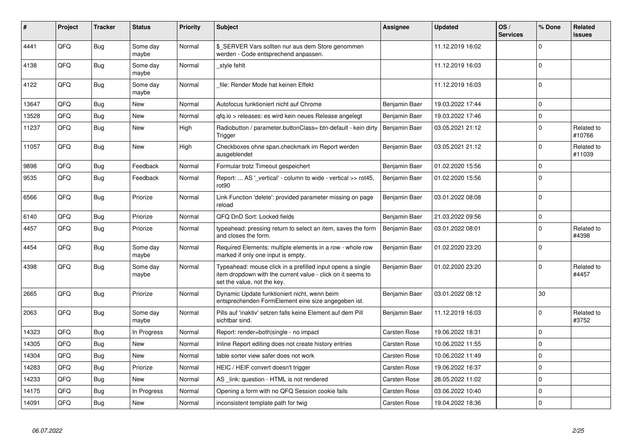| ∦     | Project | Tracker    | <b>Status</b>     | <b>Priority</b> | Subject                                                                                                                                                  | Assignee            | <b>Updated</b>   | OS/<br><b>Services</b> | % Done      | Related<br>issues    |
|-------|---------|------------|-------------------|-----------------|----------------------------------------------------------------------------------------------------------------------------------------------------------|---------------------|------------------|------------------------|-------------|----------------------|
| 4441  | QFQ     | Bug        | Some day<br>maybe | Normal          | \$ SERVER Vars sollten nur aus dem Store genommen<br>werden - Code entsprechend anpassen.                                                                |                     | 11.12.2019 16:02 |                        | $\Omega$    |                      |
| 4138  | QFQ     | Bug        | Some day<br>maybe | Normal          | style fehlt                                                                                                                                              |                     | 11.12.2019 16:03 |                        | $\Omega$    |                      |
| 4122  | QFQ     | Bug        | Some day<br>maybe | Normal          | file: Render Mode hat keinen Effekt                                                                                                                      |                     | 11.12.2019 16:03 |                        | $\Omega$    |                      |
| 13647 | QFQ     | Bug        | New               | Normal          | Autofocus funktioniert nicht auf Chrome                                                                                                                  | Benjamin Baer       | 19.03.2022 17:44 |                        | $\Omega$    |                      |
| 13528 | QFQ     | Bug        | New               | Normal          | gfg.io > releases: es wird kein neues Release angelegt                                                                                                   | Benjamin Baer       | 19.03.2022 17:46 |                        | $\Omega$    |                      |
| 11237 | QFQ     | Bug        | New               | High            | Radiobutton / parameter.buttonClass= btn-default - kein dirty<br>Trigger                                                                                 | Benjamin Baer       | 03.05.2021 21:12 |                        | $\Omega$    | Related to<br>#10766 |
| 11057 | QFQ     | Bug        | <b>New</b>        | High            | Checkboxes ohne span.checkmark im Report werden<br>ausgeblendet                                                                                          | Benjamin Baer       | 03.05.2021 21:12 |                        | $\Omega$    | Related to<br>#11039 |
| 9898  | QFQ     | Bug        | Feedback          | Normal          | Formular trotz Timeout gespeichert                                                                                                                       | Benjamin Baer       | 01.02.2020 15:56 |                        | $\Omega$    |                      |
| 9535  | QFQ     | Bug        | Feedback          | Normal          | Report:  AS '_vertical' - column to wide - vertical >> rot45,<br>rot90                                                                                   | Benjamin Baer       | 01.02.2020 15:56 |                        | $\mathbf 0$ |                      |
| 6566  | QFQ     | <b>Bug</b> | Priorize          | Normal          | Link Function 'delete': provided parameter missing on page<br>reload                                                                                     | Benjamin Baer       | 03.01.2022 08:08 |                        | $\Omega$    |                      |
| 6140  | QFQ     | Bug        | Priorize          | Normal          | QFQ DnD Sort: Locked fields                                                                                                                              | Benjamin Baer       | 21.03.2022 09:56 |                        | $\Omega$    |                      |
| 4457  | QFQ     | Bug        | Priorize          | Normal          | typeahead: pressing return to select an item, saves the form<br>and closes the form.                                                                     | Benjamin Baer       | 03.01.2022 08:01 |                        | $\Omega$    | Related to<br>#4398  |
| 4454  | QFQ     | <b>Bug</b> | Some day<br>maybe | Normal          | Required Elements: multiple elements in a row - whole row<br>marked if only one input is empty.                                                          | Benjamin Baer       | 01.02.2020 23:20 |                        | $\Omega$    |                      |
| 4398  | QFQ     | <b>Bug</b> | Some day<br>maybe | Normal          | Typeahead: mouse click in a prefilled input opens a single<br>item dropdown with the current value - click on it seems to<br>set the value, not the key. | Benjamin Baer       | 01.02.2020 23:20 |                        | $\Omega$    | Related to<br>#4457  |
| 2665  | QFQ     | Bug        | Priorize          | Normal          | Dynamic Update funktioniert nicht, wenn beim<br>entsprechenden FormElement eine size angegeben ist.                                                      | Benjamin Baer       | 03.01.2022 08:12 |                        | 30          |                      |
| 2063  | QFQ     | Bug        | Some day<br>maybe | Normal          | Pills auf 'inaktiv' setzen falls keine Element auf dem Pill<br>sichtbar sind.                                                                            | Benjamin Baer       | 11.12.2019 16:03 |                        | $\Omega$    | Related to<br>#3752  |
| 14323 | QFQ     | Bug        | In Progress       | Normal          | Report: render=both single - no impact                                                                                                                   | Carsten Rose        | 19.06.2022 18:31 |                        | $\Omega$    |                      |
| 14305 | QFQ     | <b>Bug</b> | New               | Normal          | Inline Report editing does not create history entries                                                                                                    | Carsten Rose        | 10.06.2022 11:55 |                        | $\Omega$    |                      |
| 14304 | QFQ     | Bug        | New               | Normal          | table sorter view safer does not work                                                                                                                    | <b>Carsten Rose</b> | 10.06.2022 11:49 |                        | $\Omega$    |                      |
| 14283 | QFQ     | <b>Bug</b> | Priorize          | Normal          | HEIC / HEIF convert doesn't trigger                                                                                                                      | Carsten Rose        | 19.06.2022 16:37 |                        | $\Omega$    |                      |
| 14233 | QFQ     | Bug        | New               | Normal          | AS link: question - HTML is not rendered                                                                                                                 | Carsten Rose        | 28.05.2022 11:02 |                        | $\mathbf 0$ |                      |
| 14175 | QFQ     | Bug        | In Progress       | Normal          | Opening a form with no QFQ Session cookie fails                                                                                                          | Carsten Rose        | 03.06.2022 10:40 |                        | $\Omega$    |                      |
| 14091 | QFQ     | Bug        | New               | Normal          | inconsistent template path for twig                                                                                                                      | Carsten Rose        | 19.04.2022 18:36 |                        | $\Omega$    |                      |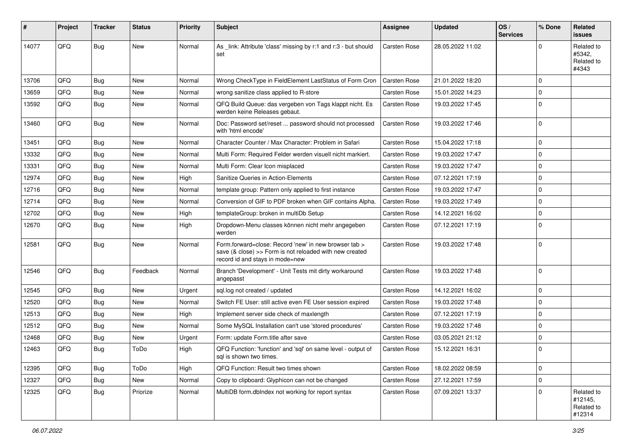| #     | Project | <b>Tracker</b> | <b>Status</b> | <b>Priority</b> | <b>Subject</b>                                                                                                                                      | Assignee            | <b>Updated</b>   | OS/<br><b>Services</b> | % Done   | Related<br>issues                             |
|-------|---------|----------------|---------------|-----------------|-----------------------------------------------------------------------------------------------------------------------------------------------------|---------------------|------------------|------------------------|----------|-----------------------------------------------|
| 14077 | QFQ     | Bug            | New           | Normal          | As _link: Attribute 'class' missing by r:1 and r:3 - but should<br>set                                                                              | <b>Carsten Rose</b> | 28.05.2022 11:02 |                        | U        | Related to<br>#5342,<br>Related to<br>#4343   |
| 13706 | QFQ     | Bug            | <b>New</b>    | Normal          | Wrong CheckType in FieldElement LastStatus of Form Cron                                                                                             | Carsten Rose        | 21.01.2022 18:20 |                        | $\Omega$ |                                               |
| 13659 | QFQ     | <b>Bug</b>     | New           | Normal          | wrong sanitize class applied to R-store                                                                                                             | Carsten Rose        | 15.01.2022 14:23 |                        | $\Omega$ |                                               |
| 13592 | QFQ     | Bug            | New           | Normal          | QFQ Build Queue: das vergeben von Tags klappt nicht. Es<br>werden keine Releases gebaut.                                                            | Carsten Rose        | 19.03.2022 17:45 |                        | $\Omega$ |                                               |
| 13460 | QFQ     | Bug            | New           | Normal          | Doc: Password set/reset  password should not processed<br>with 'html encode'                                                                        | <b>Carsten Rose</b> | 19.03.2022 17:46 |                        | l 0      |                                               |
| 13451 | QFQ     | Bug            | New           | Normal          | Character Counter / Max Character: Problem in Safari                                                                                                | Carsten Rose        | 15.04.2022 17:18 |                        | $\Omega$ |                                               |
| 13332 | QFQ     | Bug            | New           | Normal          | Multi Form: Required Felder werden visuell nicht markiert.                                                                                          | Carsten Rose        | 19.03.2022 17:47 |                        | $\Omega$ |                                               |
| 13331 | QFQ     | Bug            | New           | Normal          | Multi Form: Clear Icon misplaced                                                                                                                    | Carsten Rose        | 19.03.2022 17:47 |                        | $\Omega$ |                                               |
| 12974 | QFQ     | Bug            | New           | High            | Sanitize Queries in Action-Elements                                                                                                                 | Carsten Rose        | 07.12.2021 17:19 |                        | $\Omega$ |                                               |
| 12716 | QFQ     | Bug            | <b>New</b>    | Normal          | template group: Pattern only applied to first instance                                                                                              | Carsten Rose        | 19.03.2022 17:47 |                        | $\Omega$ |                                               |
| 12714 | QFQ     | Bug            | New           | Normal          | Conversion of GIF to PDF broken when GIF contains Alpha.                                                                                            | <b>Carsten Rose</b> | 19.03.2022 17:49 |                        | $\Omega$ |                                               |
| 12702 | QFQ     | Bug            | New           | High            | templateGroup: broken in multiDb Setup                                                                                                              | Carsten Rose        | 14.12.2021 16:02 |                        | $\Omega$ |                                               |
| 12670 | QFQ     | Bug            | New           | High            | Dropdown-Menu classes können nicht mehr angegeben<br>werden                                                                                         | Carsten Rose        | 07.12.2021 17:19 |                        | $\Omega$ |                                               |
| 12581 | QFQ     | Bug            | New           | Normal          | Form.forward=close: Record 'new' in new browser tab ><br>save (& close) >> Form is not reloaded with new created<br>record id and stays in mode=new | Carsten Rose        | 19.03.2022 17:48 |                        | l 0      |                                               |
| 12546 | QFQ     | Bug            | Feedback      | Normal          | Branch 'Development' - Unit Tests mit dirty workaround<br>angepasst                                                                                 | Carsten Rose        | 19.03.2022 17:48 |                        | l 0      |                                               |
| 12545 | QFQ     | Bug            | New           | Urgent          | sql.log not created / updated                                                                                                                       | Carsten Rose        | 14.12.2021 16:02 |                        | l 0      |                                               |
| 12520 | QFQ     | <b>Bug</b>     | New           | Normal          | Switch FE User: still active even FE User session expired                                                                                           | Carsten Rose        | 19.03.2022 17:48 |                        | $\Omega$ |                                               |
| 12513 | QFQ     | Bug            | New           | High            | Implement server side check of maxlength                                                                                                            | Carsten Rose        | 07.12.2021 17:19 |                        | $\Omega$ |                                               |
| 12512 | QFQ     | Bug            | New           | Normal          | Some MySQL Installation can't use 'stored procedures'                                                                                               | Carsten Rose        | 19.03.2022 17:48 |                        | $\Omega$ |                                               |
| 12468 | QFQ     | Bug            | New           | Urgent          | Form: update Form.title after save                                                                                                                  | Carsten Rose        | 03.05.2021 21:12 |                        | $\Omega$ |                                               |
| 12463 | QFQ     | Bug            | ToDo          | High            | QFQ Function: 'function' and 'sql' on same level - output of<br>sql is shown two times.                                                             | Carsten Rose        | 15.12.2021 16:31 |                        | $\Omega$ |                                               |
| 12395 | QFQ     | Bug            | ToDo          | High            | QFQ Function: Result two times shown                                                                                                                | Carsten Rose        | 18.02.2022 08:59 |                        | l 0      |                                               |
| 12327 | QFQ     | Bug            | New           | Normal          | Copy to clipboard: Glyphicon can not be changed                                                                                                     | Carsten Rose        | 27.12.2021 17:59 |                        | l 0      |                                               |
| 12325 | QFQ     | <b>Bug</b>     | Priorize      | Normal          | MultiDB form.dblndex not working for report syntax                                                                                                  | Carsten Rose        | 07.09.2021 13:37 |                        | $\Omega$ | Related to<br>#12145,<br>Related to<br>#12314 |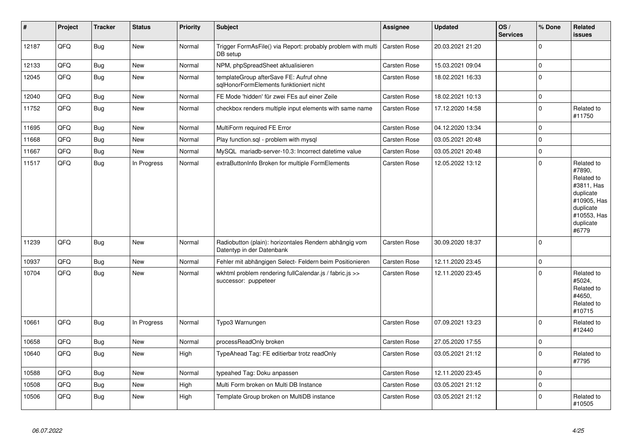| #     | Project | <b>Tracker</b> | <b>Status</b> | <b>Priority</b> | <b>Subject</b>                                                                      | Assignee            | <b>Updated</b>   | OS/<br><b>Services</b> | % Done              | Related<br><b>issues</b>                                                                                                       |
|-------|---------|----------------|---------------|-----------------|-------------------------------------------------------------------------------------|---------------------|------------------|------------------------|---------------------|--------------------------------------------------------------------------------------------------------------------------------|
| 12187 | QFQ     | <b>Bug</b>     | New           | Normal          | Trigger FormAsFile() via Report: probably problem with multi<br>DB setup            | <b>Carsten Rose</b> | 20.03.2021 21:20 |                        | $\Omega$            |                                                                                                                                |
| 12133 | QFQ     | Bug            | <b>New</b>    | Normal          | NPM, phpSpreadSheet aktualisieren                                                   | <b>Carsten Rose</b> | 15.03.2021 09:04 |                        | $\mathbf 0$         |                                                                                                                                |
| 12045 | QFQ     | <b>Bug</b>     | New           | Normal          | templateGroup afterSave FE: Aufruf ohne<br>sglHonorFormElements funktioniert nicht  | Carsten Rose        | 18.02.2021 16:33 |                        | l o                 |                                                                                                                                |
| 12040 | QFQ     | Bug            | New           | Normal          | FE Mode 'hidden' für zwei FEs auf einer Zeile                                       | Carsten Rose        | 18.02.2021 10:13 |                        | $\mathsf{O}\xspace$ |                                                                                                                                |
| 11752 | QFQ     | <b>Bug</b>     | New           | Normal          | checkbox renders multiple input elements with same name                             | Carsten Rose        | 17.12.2020 14:58 |                        | ١o                  | Related to<br>#11750                                                                                                           |
| 11695 | QFQ     | <b>Bug</b>     | New           | Normal          | MultiForm required FE Error                                                         | Carsten Rose        | 04.12.2020 13:34 |                        | $\mathbf 0$         |                                                                                                                                |
| 11668 | QFQ     | Bug            | <b>New</b>    | Normal          | Play function.sql - problem with mysql                                              | Carsten Rose        | 03.05.2021 20:48 |                        | $\Omega$            |                                                                                                                                |
| 11667 | QFQ     | <b>Bug</b>     | New           | Normal          | MySQL mariadb-server-10.3: Incorrect datetime value                                 | Carsten Rose        | 03.05.2021 20:48 |                        | $\mathbf 0$         |                                                                                                                                |
| 11517 | QFQ     | Bug            | In Progress   | Normal          | extraButtonInfo Broken for multiple FormElements                                    | <b>Carsten Rose</b> | 12.05.2022 13:12 |                        | $\Omega$            | Related to<br>#7890,<br>Related to<br>#3811, Has<br>duplicate<br>#10905, Has<br>duplicate<br>#10553, Has<br>duplicate<br>#6779 |
| 11239 | QFQ     | Bug            | New           | Normal          | Radiobutton (plain): horizontales Rendern abhängig vom<br>Datentyp in der Datenbank | Carsten Rose        | 30.09.2020 18:37 |                        | ١o                  |                                                                                                                                |
| 10937 | QFQ     | Bug            | <b>New</b>    | Normal          | Fehler mit abhängigen Select- Feldern beim Positionieren                            | Carsten Rose        | 12.11.2020 23:45 |                        | $\mathbf 0$         |                                                                                                                                |
| 10704 | QFQ     | <b>Bug</b>     | New           | Normal          | wkhtml problem rendering fullCalendar.js / fabric.js >><br>successor: puppeteer     | Carsten Rose        | 12.11.2020 23:45 |                        | $\Omega$            | Related to<br>#5024,<br>Related to<br>#4650,<br>Related to<br>#10715                                                           |
| 10661 | QFQ     | <b>Bug</b>     | In Progress   | Normal          | Typo3 Warnungen                                                                     | Carsten Rose        | 07.09.2021 13:23 |                        | $\Omega$            | Related to<br>#12440                                                                                                           |
| 10658 | QFQ     | <b>Bug</b>     | <b>New</b>    | Normal          | processReadOnly broken                                                              | Carsten Rose        | 27.05.2020 17:55 |                        | l O                 |                                                                                                                                |
| 10640 | QFQ     | Bug            | New           | High            | TypeAhead Tag: FE editierbar trotz readOnly                                         | Carsten Rose        | 03.05.2021 21:12 |                        | $\Omega$            | Related to<br>#7795                                                                                                            |
| 10588 | QFQ     | <b>Bug</b>     | New           | Normal          | typeahed Tag: Doku anpassen                                                         | Carsten Rose        | 12.11.2020 23:45 |                        | l 0                 |                                                                                                                                |
| 10508 | QFQ     | <b>Bug</b>     | New           | High            | Multi Form broken on Multi DB Instance                                              | Carsten Rose        | 03.05.2021 21:12 |                        | $\mathbf 0$         |                                                                                                                                |
| 10506 | QFQ     | <b>Bug</b>     | New           | High            | Template Group broken on MultiDB instance                                           | Carsten Rose        | 03.05.2021 21:12 |                        | $\Omega$            | Related to<br>#10505                                                                                                           |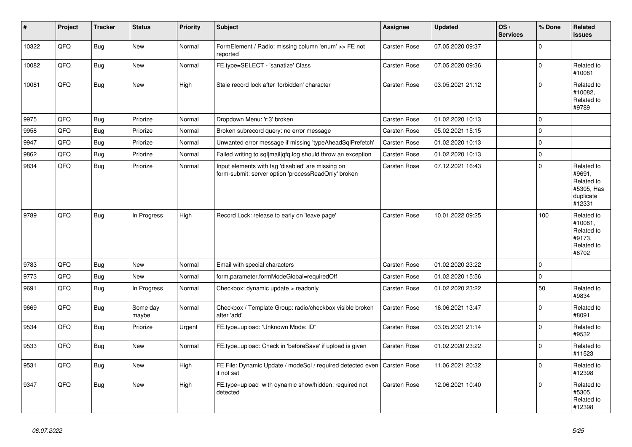| #     | Project | <b>Tracker</b> | <b>Status</b>     | <b>Priority</b> | <b>Subject</b>                                                                                           | Assignee            | <b>Updated</b>   | OS/<br><b>Services</b> | % Done      | Related<br>issues                                                       |
|-------|---------|----------------|-------------------|-----------------|----------------------------------------------------------------------------------------------------------|---------------------|------------------|------------------------|-------------|-------------------------------------------------------------------------|
| 10322 | QFQ     | <b>Bug</b>     | <b>New</b>        | Normal          | FormElement / Radio: missing column 'enum' >> FE not<br>reported                                         | Carsten Rose        | 07.05.2020 09:37 |                        | $\Omega$    |                                                                         |
| 10082 | QFQ     | <b>Bug</b>     | <b>New</b>        | Normal          | FE.type=SELECT - 'sanatize' Class                                                                        | Carsten Rose        | 07.05.2020 09:36 |                        | $\Omega$    | Related to<br>#10081                                                    |
| 10081 | QFQ     | Bug            | <b>New</b>        | High            | Stale record lock after 'forbidden' character                                                            | Carsten Rose        | 03.05.2021 21:12 |                        | $\Omega$    | Related to<br>#10082,<br>Related to<br>#9789                            |
| 9975  | QFQ     | <b>Bug</b>     | Priorize          | Normal          | Dropdown Menu: 'r:3' broken                                                                              | Carsten Rose        | 01.02.2020 10:13 |                        | $\Omega$    |                                                                         |
| 9958  | QFQ     | Bug            | Priorize          | Normal          | Broken subrecord query: no error message                                                                 | Carsten Rose        | 05.02.2021 15:15 |                        | $\Omega$    |                                                                         |
| 9947  | QFQ     | Bug            | Priorize          | Normal          | Unwanted error message if missing 'typeAheadSglPrefetch'                                                 | Carsten Rose        | 01.02.2020 10:13 |                        | $\Omega$    |                                                                         |
| 9862  | QFQ     | Bug            | Priorize          | Normal          | Failed writing to sql mail qfq.log should throw an exception                                             | Carsten Rose        | 01.02.2020 10:13 |                        | $\mathbf 0$ |                                                                         |
| 9834  | QFQ     | Bug            | Priorize          | Normal          | Input elements with tag 'disabled' are missing on<br>form-submit: server option 'processReadOnly' broken | Carsten Rose        | 07.12.2021 16:43 |                        | $\Omega$    | Related to<br>#9691,<br>Related to<br>#5305, Has<br>duplicate<br>#12331 |
| 9789  | QFQ     | Bug            | In Progress       | High            | Record Lock: release to early on 'leave page'                                                            | Carsten Rose        | 10.01.2022 09:25 |                        | 100         | Related to<br>#10081,<br>Related to<br>#9173,<br>Related to<br>#8702    |
| 9783  | QFQ     | <b>Bug</b>     | <b>New</b>        | Normal          | Email with special characters                                                                            | Carsten Rose        | 01.02.2020 23:22 |                        | $\Omega$    |                                                                         |
| 9773  | QFQ     | <b>Bug</b>     | <b>New</b>        | Normal          | form.parameter.formModeGlobal=requiredOff                                                                | Carsten Rose        | 01.02.2020 15:56 |                        | $\Omega$    |                                                                         |
| 9691  | QFQ     | Bug            | In Progress       | Normal          | Checkbox: dynamic update > readonly                                                                      | Carsten Rose        | 01.02.2020 23:22 |                        | 50          | Related to<br>#9834                                                     |
| 9669  | QFQ     | <b>Bug</b>     | Some day<br>maybe | Normal          | Checkbox / Template Group: radio/checkbox visible broken<br>after 'add'                                  | Carsten Rose        | 16.06.2021 13:47 |                        | $\Omega$    | Related to<br>#8091                                                     |
| 9534  | QFQ     | <b>Bug</b>     | Priorize          | Urgent          | FE.type=upload: 'Unknown Mode: ID"                                                                       | Carsten Rose        | 03.05.2021 21:14 |                        | $\Omega$    | Related to<br>#9532                                                     |
| 9533  | QFQ     | <b>Bug</b>     | <b>New</b>        | Normal          | FE.type=upload: Check in 'beforeSave' if upload is given                                                 | Carsten Rose        | 01.02.2020 23:22 |                        | $\Omega$    | Related to<br>#11523                                                    |
| 9531  | QFQ     | <b>Bug</b>     | New               | High            | FE File: Dynamic Update / modeSql / required detected even<br>it not set                                 | <b>Carsten Rose</b> | 11.06.2021 20:32 |                        | $\Omega$    | Related to<br>#12398                                                    |
| 9347  | QFQ     | Bug            | New               | High            | FE.type=upload with dynamic show/hidden: required not<br>detected                                        | Carsten Rose        | 12.06.2021 10:40 |                        | $\Omega$    | Related to<br>#5305,<br>Related to<br>#12398                            |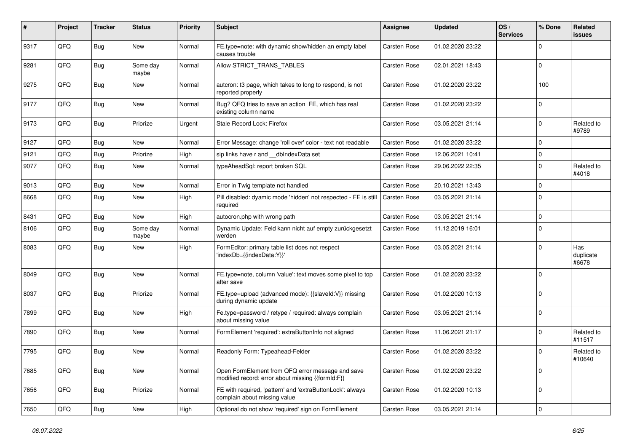| #    | Project | <b>Tracker</b> | <b>Status</b>     | <b>Priority</b> | <b>Subject</b>                                                                                        | <b>Assignee</b>     | <b>Updated</b>   | OS/<br><b>Services</b> | % Done      | <b>Related</b><br>issues  |
|------|---------|----------------|-------------------|-----------------|-------------------------------------------------------------------------------------------------------|---------------------|------------------|------------------------|-------------|---------------------------|
| 9317 | QFQ     | <b>Bug</b>     | <b>New</b>        | Normal          | FE.type=note: with dynamic show/hidden an empty label<br>causes trouble                               | Carsten Rose        | 01.02.2020 23:22 |                        | $\Omega$    |                           |
| 9281 | QFQ     | Bug            | Some day<br>maybe | Normal          | Allow STRICT_TRANS_TABLES                                                                             | Carsten Rose        | 02.01.2021 18:43 |                        | $\mathbf 0$ |                           |
| 9275 | QFQ     | <b>Bug</b>     | New               | Normal          | autcron: t3 page, which takes to long to respond, is not<br>reported properly                         | Carsten Rose        | 01.02.2020 23:22 |                        | 100         |                           |
| 9177 | QFQ     | <b>Bug</b>     | New               | Normal          | Bug? QFQ tries to save an action FE, which has real<br>existing column name                           | Carsten Rose        | 01.02.2020 23:22 |                        | $\mathbf 0$ |                           |
| 9173 | QFQ     | <b>Bug</b>     | Priorize          | Urgent          | Stale Record Lock: Firefox                                                                            | Carsten Rose        | 03.05.2021 21:14 |                        | $\Omega$    | Related to<br>#9789       |
| 9127 | QFQ     | <b>Bug</b>     | New               | Normal          | Error Message: change 'roll over' color - text not readable                                           | Carsten Rose        | 01.02.2020 23:22 |                        | $\Omega$    |                           |
| 9121 | QFQ     | <b>Bug</b>     | Priorize          | High            | sip links have r and __dbIndexData set                                                                | <b>Carsten Rose</b> | 12.06.2021 10:41 |                        | $\mathbf 0$ |                           |
| 9077 | QFQ     | <b>Bug</b>     | New               | Normal          | typeAheadSql: report broken SQL                                                                       | Carsten Rose        | 29.06.2022 22:35 |                        | $\Omega$    | Related to<br>#4018       |
| 9013 | QFQ     | <b>Bug</b>     | <b>New</b>        | Normal          | Error in Twig template not handled                                                                    | Carsten Rose        | 20.10.2021 13:43 |                        | 0           |                           |
| 8668 | QFQ     | <b>Bug</b>     | <b>New</b>        | High            | Pill disabled: dyamic mode 'hidden' not respected - FE is still<br>required                           | Carsten Rose        | 03.05.2021 21:14 |                        | $\Omega$    |                           |
| 8431 | QFQ     | <b>Bug</b>     | New               | High            | autocron.php with wrong path                                                                          | Carsten Rose        | 03.05.2021 21:14 |                        | $\mathbf 0$ |                           |
| 8106 | QFQ     | <b>Bug</b>     | Some day<br>maybe | Normal          | Dynamic Update: Feld kann nicht auf empty zurückgesetzt<br>werden                                     | Carsten Rose        | 11.12.2019 16:01 |                        | $\Omega$    |                           |
| 8083 | QFQ     | <b>Bug</b>     | New               | High            | FormEditor: primary table list does not respect<br>'indexDb={{indexData:Y}}'                          | Carsten Rose        | 03.05.2021 21:14 |                        | $\Omega$    | Has<br>duplicate<br>#6678 |
| 8049 | QFQ     | <b>Bug</b>     | <b>New</b>        | Normal          | FE.type=note, column 'value': text moves some pixel to top<br>after save                              | Carsten Rose        | 01.02.2020 23:22 |                        | $\Omega$    |                           |
| 8037 | QFQ     | <b>Bug</b>     | Priorize          | Normal          | FE.type=upload (advanced mode): {{slaveld:V}} missing<br>during dynamic update                        | Carsten Rose        | 01.02.2020 10:13 |                        | $\Omega$    |                           |
| 7899 | QFQ     | <b>Bug</b>     | <b>New</b>        | High            | Fe.type=password / retype / required: always complain<br>about missing value                          | Carsten Rose        | 03.05.2021 21:14 |                        | $\Omega$    |                           |
| 7890 | QFQ     | <b>Bug</b>     | <b>New</b>        | Normal          | FormElement 'required': extraButtonInfo not aligned                                                   | Carsten Rose        | 11.06.2021 21:17 |                        | $\Omega$    | Related to<br>#11517      |
| 7795 | QFQ     | <b>Bug</b>     | New               | Normal          | Readonly Form: Typeahead-Felder                                                                       | Carsten Rose        | 01.02.2020 23:22 |                        | $\Omega$    | Related to<br>#10640      |
| 7685 | QFQ     | Bug            | New               | Normal          | Open FormElement from QFQ error message and save<br>modified record: error about missing {{formId:F}} | Carsten Rose        | 01.02.2020 23:22 |                        | $\mathbf 0$ |                           |
| 7656 | QFQ     | Bug            | Priorize          | Normal          | FE with required, 'pattern' and 'extraButtonLock': always<br>complain about missing value             | Carsten Rose        | 01.02.2020 10:13 |                        | $\mathbf 0$ |                           |
| 7650 | QFQ     | Bug            | New               | High            | Optional do not show 'required' sign on FormElement                                                   | Carsten Rose        | 03.05.2021 21:14 |                        | $\mathbf 0$ |                           |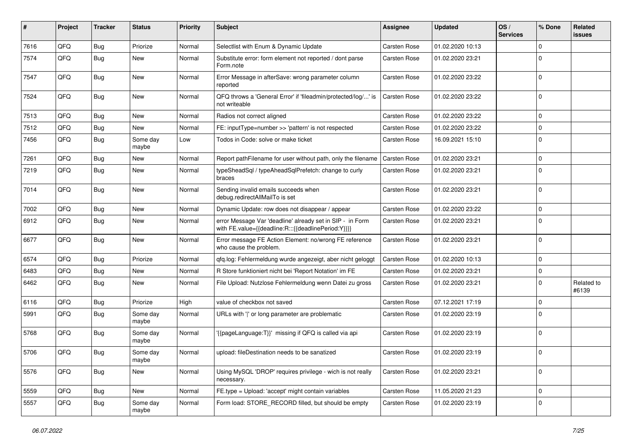| #    | Project | <b>Tracker</b> | <b>Status</b>     | <b>Priority</b> | Subject                                                                                                          | Assignee            | <b>Updated</b>   | OS/<br><b>Services</b> | % Done         | Related<br>issues   |
|------|---------|----------------|-------------------|-----------------|------------------------------------------------------------------------------------------------------------------|---------------------|------------------|------------------------|----------------|---------------------|
| 7616 | QFQ     | Bug            | Priorize          | Normal          | Selectlist with Enum & Dynamic Update                                                                            | Carsten Rose        | 01.02.2020 10:13 |                        | $\Omega$       |                     |
| 7574 | QFQ     | Bug            | New               | Normal          | Substitute error: form element not reported / dont parse<br>Form.note                                            | Carsten Rose        | 01.02.2020 23:21 |                        | $\Omega$       |                     |
| 7547 | QFQ     | Bug            | New               | Normal          | Error Message in afterSave: wrong parameter column<br>reported                                                   | Carsten Rose        | 01.02.2020 23:22 |                        | $\Omega$       |                     |
| 7524 | QFQ     | Bug            | New               | Normal          | QFQ throws a 'General Error' if 'fileadmin/protected/log/' is<br>not writeable                                   | Carsten Rose        | 01.02.2020 23:22 |                        | $\overline{0}$ |                     |
| 7513 | QFQ     | Bug            | New               | Normal          | Radios not correct aligned                                                                                       | Carsten Rose        | 01.02.2020 23:22 |                        | $\Omega$       |                     |
| 7512 | QFQ     | Bug            | New               | Normal          | FE: inputType=number >> 'pattern' is not respected                                                               | Carsten Rose        | 01.02.2020 23:22 |                        | $\mathbf 0$    |                     |
| 7456 | QFQ     | Bug            | Some day<br>maybe | Low             | Todos in Code: solve or make ticket                                                                              | Carsten Rose        | 16.09.2021 15:10 |                        | $\Omega$       |                     |
| 7261 | QFQ     | Bug            | New               | Normal          | Report pathFilename for user without path, only the filename                                                     | <b>Carsten Rose</b> | 01.02.2020 23:21 |                        | 0              |                     |
| 7219 | QFQ     | Bug            | New               | Normal          | typeSheadSql / typeAheadSqlPrefetch: change to curly<br>braces                                                   | Carsten Rose        | 01.02.2020 23:21 |                        | $\Omega$       |                     |
| 7014 | QFQ     | Bug            | New               | Normal          | Sending invalid emails succeeds when<br>debug.redirectAllMailTo is set                                           | Carsten Rose        | 01.02.2020 23:21 |                        | $\mathbf 0$    |                     |
| 7002 | QFQ     | Bug            | New               | Normal          | Dynamic Update: row does not disappear / appear                                                                  | Carsten Rose        | 01.02.2020 23:22 |                        | $\mathbf 0$    |                     |
| 6912 | QFQ     | Bug            | New               | Normal          | error Message Var 'deadline' already set in SIP - in Form<br>with FE.value={{deadline:R:::{{deadlinePeriod:Y}}}} | Carsten Rose        | 01.02.2020 23:21 |                        | 0              |                     |
| 6677 | QFQ     | Bug            | New               | Normal          | Error message FE Action Element: no/wrong FE reference<br>who cause the problem.                                 | Carsten Rose        | 01.02.2020 23:21 |                        | $\Omega$       |                     |
| 6574 | QFQ     | Bug            | Priorize          | Normal          | qfq.log: Fehlermeldung wurde angezeigt, aber nicht geloggt                                                       | Carsten Rose        | 01.02.2020 10:13 |                        | $\mathbf 0$    |                     |
| 6483 | QFQ     | Bug            | New               | Normal          | R Store funktioniert nicht bei 'Report Notation' im FE                                                           | Carsten Rose        | 01.02.2020 23:21 |                        | 0              |                     |
| 6462 | QFQ     | Bug            | New               | Normal          | File Upload: Nutzlose Fehlermeldung wenn Datei zu gross                                                          | Carsten Rose        | 01.02.2020 23:21 |                        | $\Omega$       | Related to<br>#6139 |
| 6116 | QFQ     | Bug            | Priorize          | High            | value of checkbox not saved                                                                                      | Carsten Rose        | 07.12.2021 17:19 |                        | $\mathbf 0$    |                     |
| 5991 | QFQ     | Bug            | Some day<br>maybe | Normal          | URLs with ' ' or long parameter are problematic                                                                  | Carsten Rose        | 01.02.2020 23:19 |                        | $\Omega$       |                     |
| 5768 | QFQ     | Bug            | Some day<br>maybe | Normal          | {{pageLanguage:T}}' missing if QFQ is called via api                                                             | Carsten Rose        | 01.02.2020 23:19 |                        | 0              |                     |
| 5706 | QFQ     | Bug            | Some day<br>maybe | Normal          | upload: fileDestination needs to be sanatized                                                                    | Carsten Rose        | 01.02.2020 23:19 |                        | $\Omega$       |                     |
| 5576 | QFQ     | <b>Bug</b>     | New               | Normal          | Using MySQL 'DROP' requires privilege - wich is not really<br>necessary.                                         | Carsten Rose        | 01.02.2020 23:21 |                        | $\mathbf 0$    |                     |
| 5559 | QFQ     | Bug            | New               | Normal          | FE.type = Upload: 'accept' might contain variables                                                               | Carsten Rose        | 11.05.2020 21:23 |                        | $\mathbf 0$    |                     |
| 5557 | QFQ     | <b>Bug</b>     | Some day<br>maybe | Normal          | Form load: STORE_RECORD filled, but should be empty                                                              | Carsten Rose        | 01.02.2020 23:19 |                        | 0              |                     |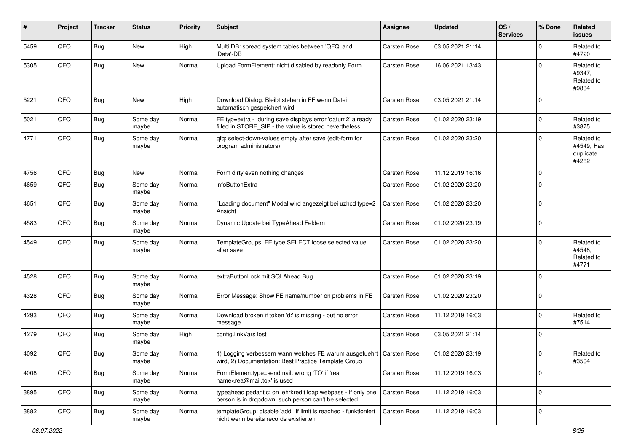| #    | Project | <b>Tracker</b> | <b>Status</b>     | <b>Priority</b> | <b>Subject</b>                                                                                                                 | <b>Assignee</b> | <b>Updated</b>   | OS/<br><b>Services</b> | % Done      | Related<br><b>issues</b>                       |
|------|---------|----------------|-------------------|-----------------|--------------------------------------------------------------------------------------------------------------------------------|-----------------|------------------|------------------------|-------------|------------------------------------------------|
| 5459 | QFQ     | <b>Bug</b>     | New               | High            | Multi DB: spread system tables between 'QFQ' and<br>'Data'-DB                                                                  | Carsten Rose    | 03.05.2021 21:14 |                        | $\mathbf 0$ | Related to<br>#4720                            |
| 5305 | QFQ     | Bug            | New               | Normal          | Upload FormElement: nicht disabled by readonly Form                                                                            | Carsten Rose    | 16.06.2021 13:43 |                        | $\mathbf 0$ | Related to<br>#9347,<br>Related to<br>#9834    |
| 5221 | QFQ     | <b>Bug</b>     | <b>New</b>        | High            | Download Dialog: Bleibt stehen in FF wenn Datei<br>automatisch gespeichert wird.                                               | Carsten Rose    | 03.05.2021 21:14 |                        | $\mathbf 0$ |                                                |
| 5021 | QFQ     | <b>Bug</b>     | Some day<br>maybe | Normal          | FE.typ=extra - during save displays error 'datum2' already<br>filled in STORE_SIP - the value is stored nevertheless           | Carsten Rose    | 01.02.2020 23:19 |                        | $\mathbf 0$ | Related to<br>#3875                            |
| 4771 | QFQ     | <b>Bug</b>     | Some day<br>maybe | Normal          | qfq: select-down-values empty after save (edit-form for<br>program administrators)                                             | Carsten Rose    | 01.02.2020 23:20 |                        | $\mathbf 0$ | Related to<br>#4549, Has<br>duplicate<br>#4282 |
| 4756 | QFQ     | <b>Bug</b>     | New               | Normal          | Form dirty even nothing changes                                                                                                | Carsten Rose    | 11.12.2019 16:16 |                        | $\mathbf 0$ |                                                |
| 4659 | QFQ     | <b>Bug</b>     | Some day<br>maybe | Normal          | infoButtonExtra                                                                                                                | Carsten Rose    | 01.02.2020 23:20 |                        | $\mathbf 0$ |                                                |
| 4651 | QFQ     | <b>Bug</b>     | Some day<br>maybe | Normal          | "Loading document" Modal wird angezeigt bei uzhcd type=2<br>Ansicht                                                            | Carsten Rose    | 01.02.2020 23:20 |                        | $\pmb{0}$   |                                                |
| 4583 | QFQ     | Bug            | Some day<br>maybe | Normal          | Dynamic Update bei TypeAhead Feldern                                                                                           | Carsten Rose    | 01.02.2020 23:19 |                        | $\mathbf 0$ |                                                |
| 4549 | QFQ     | <b>Bug</b>     | Some day<br>maybe | Normal          | TemplateGroups: FE.type SELECT loose selected value<br>after save                                                              | Carsten Rose    | 01.02.2020 23:20 |                        | $\mathbf 0$ | Related to<br>#4548.<br>Related to<br>#4771    |
| 4528 | QFQ     | <b>Bug</b>     | Some day<br>maybe | Normal          | extraButtonLock mit SQLAhead Bug                                                                                               | Carsten Rose    | 01.02.2020 23:19 |                        | $\mathbf 0$ |                                                |
| 4328 | QFQ     | <b>Bug</b>     | Some day<br>maybe | Normal          | Error Message: Show FE name/number on problems in FE                                                                           | Carsten Rose    | 01.02.2020 23:20 |                        | $\mathbf 0$ |                                                |
| 4293 | QFQ     | <b>Bug</b>     | Some day<br>maybe | Normal          | Download broken if token 'd:' is missing - but no error<br>message                                                             | Carsten Rose    | 11.12.2019 16:03 |                        | $\mathbf 0$ | Related to<br>#7514                            |
| 4279 | QFQ     | <b>Bug</b>     | Some day<br>maybe | High            | config.linkVars lost                                                                                                           | Carsten Rose    | 03.05.2021 21:14 |                        | $\mathbf 0$ |                                                |
| 4092 | QFQ     | <b>Bug</b>     | Some day<br>maybe | Normal          | 1) Logging verbessern wann welches FE warum ausgefuehrt   Carsten Rose<br>wird, 2) Documentation: Best Practice Template Group |                 | 01.02.2020 23:19 |                        | $\mathbf 0$ | Related to<br>#3504                            |
| 4008 | QFQ     | <b>Bug</b>     | Some day<br>maybe | Normal          | FormElemen.type=sendmail: wrong 'TO' if 'real<br>name <rea@mail.to>' is used</rea@mail.to>                                     | Carsten Rose    | 11.12.2019 16:03 |                        | $\mathbf 0$ |                                                |
| 3895 | QFQ     | <b>Bug</b>     | Some day<br>maybe | Normal          | typeahead pedantic: on lehrkredit Idap webpass - if only one<br>person is in dropdown, such person can't be selected           | Carsten Rose    | 11.12.2019 16:03 |                        | $\pmb{0}$   |                                                |
| 3882 | QFQ     | Bug            | Some day<br>maybe | Normal          | templateGroup: disable 'add' if limit is reached - funktioniert<br>nicht wenn bereits records existierten                      | Carsten Rose    | 11.12.2019 16:03 |                        | $\pmb{0}$   |                                                |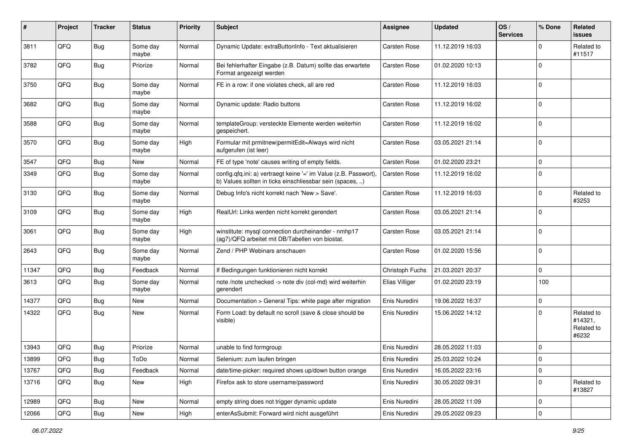| #     | Project | <b>Tracker</b> | <b>Status</b>     | <b>Priority</b> | <b>Subject</b>                                                                                                                | Assignee        | <b>Updated</b>   | OS/<br><b>Services</b> | % Done      | Related<br>issues                            |
|-------|---------|----------------|-------------------|-----------------|-------------------------------------------------------------------------------------------------------------------------------|-----------------|------------------|------------------------|-------------|----------------------------------------------|
| 3811  | QFQ     | Bug            | Some day<br>maybe | Normal          | Dynamic Update: extraButtonInfo - Text aktualisieren                                                                          | Carsten Rose    | 11.12.2019 16:03 |                        | $\Omega$    | Related to<br>#11517                         |
| 3782  | QFQ     | <b>Bug</b>     | Priorize          | Normal          | Bei fehlerhafter Eingabe (z.B. Datum) sollte das erwartete<br>Format angezeigt werden                                         | Carsten Rose    | 01.02.2020 10:13 |                        | $\Omega$    |                                              |
| 3750  | QFQ     | Bug            | Some day<br>maybe | Normal          | FE in a row: if one violates check, all are red                                                                               | Carsten Rose    | 11.12.2019 16:03 |                        | $\Omega$    |                                              |
| 3682  | QFQ     | <b>Bug</b>     | Some day<br>maybe | Normal          | Dynamic update: Radio buttons                                                                                                 | Carsten Rose    | 11.12.2019 16:02 |                        | 0           |                                              |
| 3588  | QFQ     | <b>Bug</b>     | Some day<br>maybe | Normal          | templateGroup: versteckte Elemente werden weiterhin<br>gespeichert.                                                           | Carsten Rose    | 11.12.2019 16:02 |                        | $\mathbf 0$ |                                              |
| 3570  | QFQ     | <b>Bug</b>     | Some day<br>maybe | High            | Formular mit prmitnew permitEdit=Always wird nicht<br>aufgerufen (ist leer)                                                   | Carsten Rose    | 03.05.2021 21:14 |                        | $\Omega$    |                                              |
| 3547  | QFQ     | Bug            | New               | Normal          | FE of type 'note' causes writing of empty fields.                                                                             | Carsten Rose    | 01.02.2020 23:21 |                        | $\Omega$    |                                              |
| 3349  | QFQ     | <b>Bug</b>     | Some day<br>maybe | Normal          | config.qfq.ini: a) vertraegt keine '=' im Value (z.B. Passwort),<br>b) Values sollten in ticks einschliessbar sein (spaces, ) | Carsten Rose    | 11.12.2019 16:02 |                        | $\mathbf 0$ |                                              |
| 3130  | QFQ     | <b>Bug</b>     | Some day<br>maybe | Normal          | Debug Info's nicht korrekt nach 'New > Save'.                                                                                 | Carsten Rose    | 11.12.2019 16:03 |                        | $\Omega$    | Related to<br>#3253                          |
| 3109  | QFQ     | <b>Bug</b>     | Some day<br>maybe | High            | RealUrl: Links werden nicht korrekt gerendert                                                                                 | Carsten Rose    | 03.05.2021 21:14 |                        | $\Omega$    |                                              |
| 3061  | QFQ     | <b>Bug</b>     | Some day<br>maybe | High            | winstitute: mysql connection durcheinander - nmhp17<br>(ag7)/QFQ arbeitet mit DB/Tabellen von biostat.                        | Carsten Rose    | 03.05.2021 21:14 |                        | $\Omega$    |                                              |
| 2643  | QFQ     | <b>Bug</b>     | Some day<br>maybe | Normal          | Zend / PHP Webinars anschauen                                                                                                 | Carsten Rose    | 01.02.2020 15:56 |                        | $\Omega$    |                                              |
| 11347 | QFQ     | Bug            | Feedback          | Normal          | If Bedingungen funktionieren nicht korrekt                                                                                    | Christoph Fuchs | 21.03.2021 20:37 |                        | $\Omega$    |                                              |
| 3613  | QFQ     | <b>Bug</b>     | Some day<br>maybe | Normal          | note /note unchecked -> note div (col-md) wird weiterhin<br>gerendert                                                         | Elias Villiger  | 01.02.2020 23:19 |                        | 100         |                                              |
| 14377 | QFQ     | Bug            | New               | Normal          | Documentation > General Tips: white page after migration                                                                      | Enis Nuredini   | 19.06.2022 16:37 |                        | 0           |                                              |
| 14322 | QFQ     | <b>Bug</b>     | <b>New</b>        | Normal          | Form Load: by default no scroll (save & close should be<br>visible)                                                           | Enis Nuredini   | 15.06.2022 14:12 |                        | $\Omega$    | Related to<br>#14321.<br>Related to<br>#6232 |
| 13943 | QFQ     | Bug            | Priorize          | Normal          | unable to find formgroup                                                                                                      | Enis Nuredini   | 28.05.2022 11:03 |                        | $\Omega$    |                                              |
| 13899 | QFQ     | <b>Bug</b>     | ToDo              | Normal          | Selenium: zum laufen bringen                                                                                                  | Enis Nuredini   | 25.03.2022 10:24 |                        | U           |                                              |
| 13767 | QFQ     | <b>Bug</b>     | Feedback          | Normal          | date/time-picker: required shows up/down button orange                                                                        | Enis Nuredini   | 16.05.2022 23:16 |                        | $\mathbf 0$ |                                              |
| 13716 | QFQ     | <b>Bug</b>     | New               | High            | Firefox ask to store username/password                                                                                        | Enis Nuredini   | 30.05.2022 09:31 |                        | 0           | Related to<br>#13827                         |
| 12989 | QFQ     | <b>Bug</b>     | New               | Normal          | empty string does not trigger dynamic update                                                                                  | Enis Nuredini   | 28.05.2022 11:09 |                        | $\mathbf 0$ |                                              |
| 12066 | QFG     | Bug            | New               | High            | enterAsSubmit: Forward wird nicht ausgeführt                                                                                  | Enis Nuredini   | 29.05.2022 09:23 |                        | 0           |                                              |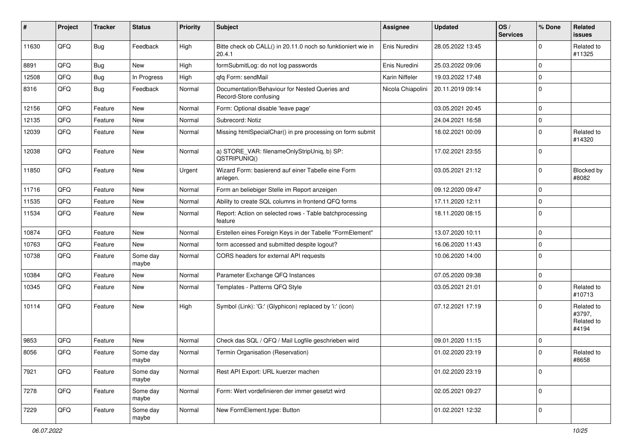| #     | Project | <b>Tracker</b> | <b>Status</b>     | <b>Priority</b> | <b>Subject</b>                                                           | <b>Assignee</b>   | <b>Updated</b>   | OS/<br><b>Services</b> | % Done      | Related<br><b>issues</b>                    |
|-------|---------|----------------|-------------------|-----------------|--------------------------------------------------------------------------|-------------------|------------------|------------------------|-------------|---------------------------------------------|
| 11630 | QFQ     | Bug            | Feedback          | High            | Bitte check ob CALL() in 20.11.0 noch so funktioniert wie in<br>20.4.1   | Enis Nuredini     | 28.05.2022 13:45 |                        | $\Omega$    | Related to<br>#11325                        |
| 8891  | QFQ     | <b>Bug</b>     | <b>New</b>        | High            | formSubmitLog: do not log passwords                                      | Enis Nuredini     | 25.03.2022 09:06 |                        | $\mathbf 0$ |                                             |
| 12508 | QFQ     | Bug            | In Progress       | High            | qfq Form: sendMail                                                       | Karin Niffeler    | 19.03.2022 17:48 |                        | $\mathbf 0$ |                                             |
| 8316  | QFQ     | Bug            | Feedback          | Normal          | Documentation/Behaviour for Nested Queries and<br>Record-Store confusing | Nicola Chiapolini | 20.11.2019 09:14 |                        | $\Omega$    |                                             |
| 12156 | QFQ     | Feature        | <b>New</b>        | Normal          | Form: Optional disable 'leave page'                                      |                   | 03.05.2021 20:45 |                        | $\mathbf 0$ |                                             |
| 12135 | QFQ     | Feature        | New               | Normal          | Subrecord: Notiz                                                         |                   | 24.04.2021 16:58 |                        | 0           |                                             |
| 12039 | QFQ     | Feature        | <b>New</b>        | Normal          | Missing htmlSpecialChar() in pre processing on form submit               |                   | 18.02.2021 00:09 |                        | $\Omega$    | Related to<br>#14320                        |
| 12038 | QFQ     | Feature        | <b>New</b>        | Normal          | a) STORE_VAR: filenameOnlyStripUniq, b) SP:<br>QSTRIPUNIQ()              |                   | 17.02.2021 23:55 |                        | $\Omega$    |                                             |
| 11850 | QFQ     | Feature        | New               | Urgent          | Wizard Form: basierend auf einer Tabelle eine Form<br>anlegen.           |                   | 03.05.2021 21:12 |                        | $\Omega$    | Blocked by<br>#8082                         |
| 11716 | QFQ     | Feature        | <b>New</b>        | Normal          | Form an beliebiger Stelle im Report anzeigen                             |                   | 09.12.2020 09:47 |                        | $\Omega$    |                                             |
| 11535 | QFQ     | Feature        | New               | Normal          | Ability to create SQL columns in frontend QFQ forms                      |                   | 17.11.2020 12:11 |                        | 0           |                                             |
| 11534 | QFQ     | Feature        | <b>New</b>        | Normal          | Report: Action on selected rows - Table batchprocessing<br>feature       |                   | 18.11.2020 08:15 |                        | $\Omega$    |                                             |
| 10874 | QFQ     | Feature        | <b>New</b>        | Normal          | Erstellen eines Foreign Keys in der Tabelle "FormElement"                |                   | 13.07.2020 10:11 |                        | $\Omega$    |                                             |
| 10763 | QFQ     | Feature        | New               | Normal          | form accessed and submitted despite logout?                              |                   | 16.06.2020 11:43 |                        | $\mathbf 0$ |                                             |
| 10738 | QFQ     | Feature        | Some day<br>maybe | Normal          | CORS headers for external API requests                                   |                   | 10.06.2020 14:00 |                        | $\Omega$    |                                             |
| 10384 | QFQ     | Feature        | New               | Normal          | Parameter Exchange QFQ Instances                                         |                   | 07.05.2020 09:38 |                        | $\mathbf 0$ |                                             |
| 10345 | QFQ     | Feature        | New               | Normal          | Templates - Patterns QFQ Style                                           |                   | 03.05.2021 21:01 |                        | $\Omega$    | Related to<br>#10713                        |
| 10114 | QFQ     | Feature        | <b>New</b>        | High            | Symbol (Link): 'G:' (Glyphicon) replaced by 'i:' (icon)                  |                   | 07.12.2021 17:19 |                        | $\Omega$    | Related to<br>#3797,<br>Related to<br>#4194 |
| 9853  | QFQ     | Feature        | <b>New</b>        | Normal          | Check das SQL / QFQ / Mail Logfile geschrieben wird                      |                   | 09.01.2020 11:15 |                        | $\Omega$    |                                             |
| 8056  | QFQ     | Feature        | Some day<br>maybe | Normal          | Termin Organisation (Reservation)                                        |                   | 01.02.2020 23:19 |                        | $\Omega$    | Related to<br>#8658                         |
| 7921  | QFQ     | Feature        | Some day<br>maybe | Normal          | Rest API Export: URL kuerzer machen                                      |                   | 01.02.2020 23:19 |                        | $\mathbf 0$ |                                             |
| 7278  | QFQ     | Feature        | Some day<br>maybe | Normal          | Form: Wert vordefinieren der immer gesetzt wird                          |                   | 02.05.2021 09:27 |                        | $\mathbf 0$ |                                             |
| 7229  | QFG     | Feature        | Some day<br>maybe | Normal          | New FormElement.type: Button                                             |                   | 01.02.2021 12:32 |                        | $\mathbf 0$ |                                             |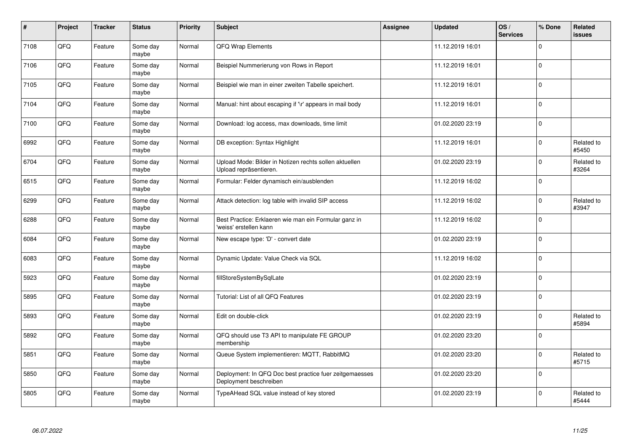| $\pmb{\sharp}$ | Project | <b>Tracker</b> | <b>Status</b>     | Priority | <b>Subject</b>                                                                    | <b>Assignee</b> | <b>Updated</b>   | OS/<br><b>Services</b> | % Done         | Related<br>issues   |
|----------------|---------|----------------|-------------------|----------|-----------------------------------------------------------------------------------|-----------------|------------------|------------------------|----------------|---------------------|
| 7108           | QFQ     | Feature        | Some day<br>maybe | Normal   | <b>QFQ Wrap Elements</b>                                                          |                 | 11.12.2019 16:01 |                        | $\mathbf 0$    |                     |
| 7106           | QFQ     | Feature        | Some day<br>maybe | Normal   | Beispiel Nummerierung von Rows in Report                                          |                 | 11.12.2019 16:01 |                        | $\mathbf 0$    |                     |
| 7105           | QFQ     | Feature        | Some day<br>maybe | Normal   | Beispiel wie man in einer zweiten Tabelle speichert.                              |                 | 11.12.2019 16:01 |                        | $\mathbf 0$    |                     |
| 7104           | QFQ     | Feature        | Some day<br>maybe | Normal   | Manual: hint about escaping if '\r' appears in mail body                          |                 | 11.12.2019 16:01 |                        | $\Omega$       |                     |
| 7100           | QFQ     | Feature        | Some day<br>maybe | Normal   | Download: log access, max downloads, time limit                                   |                 | 01.02.2020 23:19 |                        | $\mathbf 0$    |                     |
| 6992           | QFQ     | Feature        | Some day<br>maybe | Normal   | DB exception: Syntax Highlight                                                    |                 | 11.12.2019 16:01 |                        | $\mathbf 0$    | Related to<br>#5450 |
| 6704           | QFQ     | Feature        | Some day<br>maybe | Normal   | Upload Mode: Bilder in Notizen rechts sollen aktuellen<br>Upload repräsentieren.  |                 | 01.02.2020 23:19 |                        | $\Omega$       | Related to<br>#3264 |
| 6515           | QFQ     | Feature        | Some day<br>maybe | Normal   | Formular: Felder dynamisch ein/ausblenden                                         |                 | 11.12.2019 16:02 |                        | $\Omega$       |                     |
| 6299           | QFQ     | Feature        | Some day<br>maybe | Normal   | Attack detection: log table with invalid SIP access                               |                 | 11.12.2019 16:02 |                        | $\mathbf 0$    | Related to<br>#3947 |
| 6288           | QFQ     | Feature        | Some day<br>maybe | Normal   | Best Practice: Erklaeren wie man ein Formular ganz in<br>'weiss' erstellen kann   |                 | 11.12.2019 16:02 |                        | 0              |                     |
| 6084           | QFQ     | Feature        | Some day<br>maybe | Normal   | New escape type: 'D' - convert date                                               |                 | 01.02.2020 23:19 |                        | $\mathbf 0$    |                     |
| 6083           | QFQ     | Feature        | Some day<br>maybe | Normal   | Dynamic Update: Value Check via SQL                                               |                 | 11.12.2019 16:02 |                        | $\mathbf 0$    |                     |
| 5923           | QFQ     | Feature        | Some day<br>maybe | Normal   | fillStoreSystemBySqlLate                                                          |                 | 01.02.2020 23:19 |                        | $\mathbf 0$    |                     |
| 5895           | QFQ     | Feature        | Some day<br>maybe | Normal   | Tutorial: List of all QFQ Features                                                |                 | 01.02.2020 23:19 |                        | $\pmb{0}$      |                     |
| 5893           | QFQ     | Feature        | Some day<br>maybe | Normal   | Edit on double-click                                                              |                 | 01.02.2020 23:19 |                        | $\Omega$       | Related to<br>#5894 |
| 5892           | QFQ     | Feature        | Some day<br>maybe | Normal   | QFQ should use T3 API to manipulate FE GROUP<br>membership                        |                 | 01.02.2020 23:20 |                        | $\mathbf 0$    |                     |
| 5851           | QFQ     | Feature        | Some day<br>maybe | Normal   | Queue System implementieren: MQTT, RabbitMQ                                       |                 | 01.02.2020 23:20 |                        | $\mathbf 0$    | Related to<br>#5715 |
| 5850           | QFQ     | Feature        | Some day<br>maybe | Normal   | Deployment: In QFQ Doc best practice fuer zeitgemaesses<br>Deployment beschreiben |                 | 01.02.2020 23:20 |                        | $\overline{0}$ |                     |
| 5805           | QFQ     | Feature        | Some day<br>maybe | Normal   | TypeAHead SQL value instead of key stored                                         |                 | 01.02.2020 23:19 |                        | $\Omega$       | Related to<br>#5444 |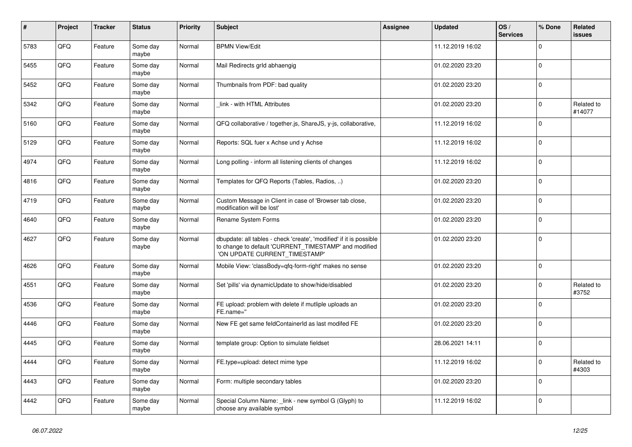| $\sharp$ | Project | <b>Tracker</b> | <b>Status</b>     | <b>Priority</b> | <b>Subject</b>                                                                                                                                                | <b>Assignee</b> | <b>Updated</b>   | OS/<br><b>Services</b> | % Done      | Related<br><b>issues</b> |
|----------|---------|----------------|-------------------|-----------------|---------------------------------------------------------------------------------------------------------------------------------------------------------------|-----------------|------------------|------------------------|-------------|--------------------------|
| 5783     | QFQ     | Feature        | Some day<br>maybe | Normal          | <b>BPMN View/Edit</b>                                                                                                                                         |                 | 11.12.2019 16:02 |                        | $\mathbf 0$ |                          |
| 5455     | QFQ     | Feature        | Some day<br>maybe | Normal          | Mail Redirects grld abhaengig                                                                                                                                 |                 | 01.02.2020 23:20 |                        | $\mathbf 0$ |                          |
| 5452     | QFQ     | Feature        | Some day<br>maybe | Normal          | Thumbnails from PDF: bad quality                                                                                                                              |                 | 01.02.2020 23:20 |                        | $\mathbf 0$ |                          |
| 5342     | QFQ     | Feature        | Some day<br>maybe | Normal          | link - with HTML Attributes                                                                                                                                   |                 | 01.02.2020 23:20 |                        | $\mathbf 0$ | Related to<br>#14077     |
| 5160     | QFQ     | Feature        | Some day<br>maybe | Normal          | QFQ collaborative / together.js, ShareJS, y-js, collaborative,                                                                                                |                 | 11.12.2019 16:02 |                        | $\mathbf 0$ |                          |
| 5129     | QFQ     | Feature        | Some day<br>maybe | Normal          | Reports: SQL fuer x Achse und y Achse                                                                                                                         |                 | 11.12.2019 16:02 |                        | $\Omega$    |                          |
| 4974     | QFQ     | Feature        | Some day<br>maybe | Normal          | Long polling - inform all listening clients of changes                                                                                                        |                 | 11.12.2019 16:02 |                        | $\mathbf 0$ |                          |
| 4816     | QFQ     | Feature        | Some day<br>maybe | Normal          | Templates for QFQ Reports (Tables, Radios, )                                                                                                                  |                 | 01.02.2020 23:20 |                        | $\mathbf 0$ |                          |
| 4719     | QFQ     | Feature        | Some day<br>maybe | Normal          | Custom Message in Client in case of 'Browser tab close,<br>modification will be lost'                                                                         |                 | 01.02.2020 23:20 |                        | $\Omega$    |                          |
| 4640     | QFQ     | Feature        | Some day<br>maybe | Normal          | Rename System Forms                                                                                                                                           |                 | 01.02.2020 23:20 |                        | $\mathbf 0$ |                          |
| 4627     | QFQ     | Feature        | Some day<br>maybe | Normal          | dbupdate: all tables - check 'create', 'modified' if it is possible<br>to change to default 'CURRENT_TIMESTAMP' and modified<br>'ON UPDATE CURRENT TIMESTAMP' |                 | 01.02.2020 23:20 |                        | 0           |                          |
| 4626     | QFQ     | Feature        | Some day<br>maybe | Normal          | Mobile View: 'classBody=qfq-form-right' makes no sense                                                                                                        |                 | 01.02.2020 23:20 |                        | $\mathbf 0$ |                          |
| 4551     | QFQ     | Feature        | Some day<br>maybe | Normal          | Set 'pills' via dynamicUpdate to show/hide/disabled                                                                                                           |                 | 01.02.2020 23:20 |                        | $\mathbf 0$ | Related to<br>#3752      |
| 4536     | QFQ     | Feature        | Some day<br>maybe | Normal          | FE upload: problem with delete if mutliple uploads an<br>FE.name="                                                                                            |                 | 01.02.2020 23:20 |                        | $\Omega$    |                          |
| 4446     | QFQ     | Feature        | Some day<br>maybe | Normal          | New FE get same feldContainerId as last modifed FE                                                                                                            |                 | 01.02.2020 23:20 |                        | $\mathbf 0$ |                          |
| 4445     | QFQ     | Feature        | Some day<br>maybe | Normal          | template group: Option to simulate fieldset                                                                                                                   |                 | 28.06.2021 14:11 |                        | $\mathbf 0$ |                          |
| 4444     | QFQ     | Feature        | Some day<br>maybe | Normal          | FE.type=upload: detect mime type                                                                                                                              |                 | 11.12.2019 16:02 |                        | $\mathbf 0$ | Related to<br>#4303      |
| 4443     | QFQ     | Feature        | Some day<br>maybe | Normal          | Form: multiple secondary tables                                                                                                                               |                 | 01.02.2020 23:20 |                        | $\Omega$    |                          |
| 4442     | QFQ     | Feature        | Some day<br>maybe | Normal          | Special Column Name: link - new symbol G (Glyph) to<br>choose any available symbol                                                                            |                 | 11.12.2019 16:02 |                        | 0           |                          |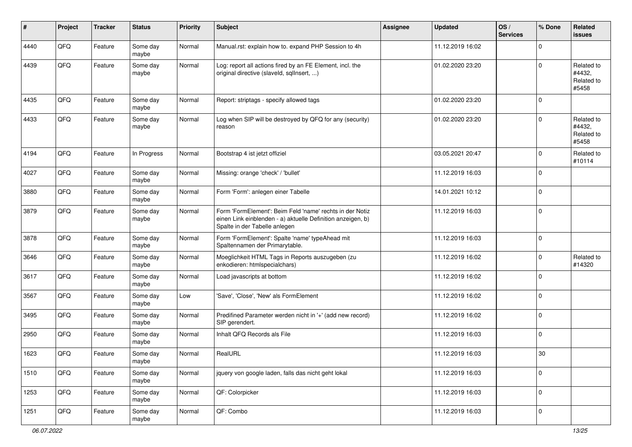| #    | Project | <b>Tracker</b> | <b>Status</b>     | <b>Priority</b> | <b>Subject</b>                                                                                                                                           | <b>Assignee</b> | <b>Updated</b>   | OS/<br><b>Services</b> | % Done      | Related<br><b>issues</b>                    |
|------|---------|----------------|-------------------|-----------------|----------------------------------------------------------------------------------------------------------------------------------------------------------|-----------------|------------------|------------------------|-------------|---------------------------------------------|
| 4440 | QFQ     | Feature        | Some day<br>maybe | Normal          | Manual.rst: explain how to. expand PHP Session to 4h                                                                                                     |                 | 11.12.2019 16:02 |                        | $\mathbf 0$ |                                             |
| 4439 | QFQ     | Feature        | Some day<br>maybe | Normal          | Log: report all actions fired by an FE Element, incl. the<br>original directive (slaveld, sqlInsert, )                                                   |                 | 01.02.2020 23:20 |                        | $\mathbf 0$ | Related to<br>#4432,<br>Related to<br>#5458 |
| 4435 | QFQ     | Feature        | Some day<br>maybe | Normal          | Report: striptags - specify allowed tags                                                                                                                 |                 | 01.02.2020 23:20 |                        | $\mathbf 0$ |                                             |
| 4433 | QFQ     | Feature        | Some day<br>maybe | Normal          | Log when SIP will be destroyed by QFQ for any (security)<br>reason                                                                                       |                 | 01.02.2020 23:20 |                        | $\mathbf 0$ | Related to<br>#4432,<br>Related to<br>#5458 |
| 4194 | QFQ     | Feature        | In Progress       | Normal          | Bootstrap 4 ist jetzt offiziel                                                                                                                           |                 | 03.05.2021 20:47 |                        | $\mathbf 0$ | Related to<br>#10114                        |
| 4027 | QFQ     | Feature        | Some day<br>maybe | Normal          | Missing: orange 'check' / 'bullet'                                                                                                                       |                 | 11.12.2019 16:03 |                        | $\mathbf 0$ |                                             |
| 3880 | QFQ     | Feature        | Some day<br>maybe | Normal          | Form 'Form': anlegen einer Tabelle                                                                                                                       |                 | 14.01.2021 10:12 |                        | $\mathbf 0$ |                                             |
| 3879 | QFQ     | Feature        | Some day<br>maybe | Normal          | Form 'FormElement': Beim Feld 'name' rechts in der Notiz<br>einen Link einblenden - a) aktuelle Definition anzeigen, b)<br>Spalte in der Tabelle anlegen |                 | 11.12.2019 16:03 |                        | $\mathbf 0$ |                                             |
| 3878 | QFQ     | Feature        | Some day<br>maybe | Normal          | Form 'FormElement': Spalte 'name' typeAhead mit<br>Spaltennamen der Primarytable.                                                                        |                 | 11.12.2019 16:03 |                        | $\mathbf 0$ |                                             |
| 3646 | QFQ     | Feature        | Some day<br>maybe | Normal          | Moeglichkeit HTML Tags in Reports auszugeben (zu<br>enkodieren: htmlspecialchars)                                                                        |                 | 11.12.2019 16:02 |                        | $\mathbf 0$ | Related to<br>#14320                        |
| 3617 | QFQ     | Feature        | Some day<br>maybe | Normal          | Load javascripts at bottom                                                                                                                               |                 | 11.12.2019 16:02 |                        | $\mathbf 0$ |                                             |
| 3567 | QFQ     | Feature        | Some day<br>maybe | Low             | 'Save', 'Close', 'New' als FormElement                                                                                                                   |                 | 11.12.2019 16:02 |                        | $\mathbf 0$ |                                             |
| 3495 | QFQ     | Feature        | Some day<br>maybe | Normal          | Predifined Parameter werden nicht in '+' (add new record)<br>SIP gerendert.                                                                              |                 | 11.12.2019 16:02 |                        | $\mathbf 0$ |                                             |
| 2950 | QFQ     | Feature        | Some day<br>maybe | Normal          | Inhalt QFQ Records als File                                                                                                                              |                 | 11.12.2019 16:03 |                        | $\mathbf 0$ |                                             |
| 1623 | QFQ     | Feature        | Some day<br>maybe | Normal          | RealURL                                                                                                                                                  |                 | 11.12.2019 16:03 |                        | 30          |                                             |
| 1510 | QFQ     | Feature        | Some day<br>maybe | Normal          | jquery von google laden, falls das nicht geht lokal                                                                                                      |                 | 11.12.2019 16:03 |                        | $\mathbf 0$ |                                             |
| 1253 | QFQ     | Feature        | Some day<br>maybe | Normal          | QF: Colorpicker                                                                                                                                          |                 | 11.12.2019 16:03 |                        | $\mathbf 0$ |                                             |
| 1251 | QFG     | Feature        | Some day<br>maybe | Normal          | QF: Combo                                                                                                                                                |                 | 11.12.2019 16:03 |                        | $\mathbf 0$ |                                             |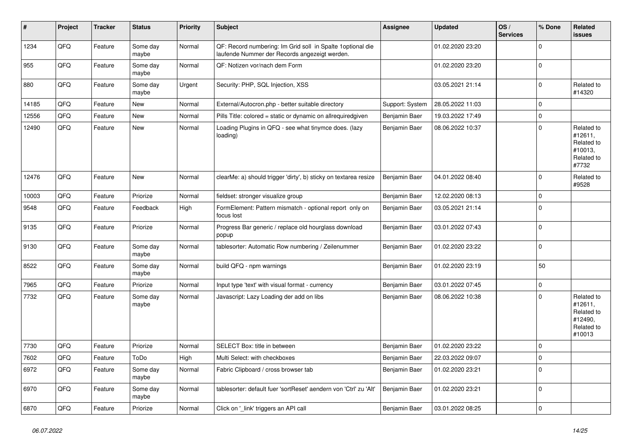| #     | Project | <b>Tracker</b> | <b>Status</b>     | <b>Priority</b> | <b>Subject</b>                                                                                               | Assignee        | <b>Updated</b>   | OS/<br><b>Services</b> | % Done      | Related<br><b>issues</b>                                               |
|-------|---------|----------------|-------------------|-----------------|--------------------------------------------------------------------------------------------------------------|-----------------|------------------|------------------------|-------------|------------------------------------------------------------------------|
| 1234  | QFQ     | Feature        | Some day<br>maybe | Normal          | QF: Record numbering: Im Grid soll in Spalte 1 optional die<br>laufende Nummer der Records angezeigt werden. |                 | 01.02.2020 23:20 |                        | $\mathbf 0$ |                                                                        |
| 955   | QFQ     | Feature        | Some day<br>maybe | Normal          | QF: Notizen vor/nach dem Form                                                                                |                 | 01.02.2020 23:20 |                        | $\mathbf 0$ |                                                                        |
| 880   | QFQ     | Feature        | Some day<br>maybe | Urgent          | Security: PHP, SQL Injection, XSS                                                                            |                 | 03.05.2021 21:14 |                        | $\Omega$    | Related to<br>#14320                                                   |
| 14185 | QFQ     | Feature        | <b>New</b>        | Normal          | External/Autocron.php - better suitable directory                                                            | Support: System | 28.05.2022 11:03 |                        | $\mathbf 0$ |                                                                        |
| 12556 | QFQ     | Feature        | <b>New</b>        | Normal          | Pills Title: colored = static or dynamic on allrequiredgiven                                                 | Benjamin Baer   | 19.03.2022 17:49 |                        | $\mathbf 0$ |                                                                        |
| 12490 | QFQ     | Feature        | <b>New</b>        | Normal          | Loading Plugins in QFQ - see what tinymce does. (lazy<br>loading)                                            | Benjamin Baer   | 08.06.2022 10:37 |                        | $\mathbf 0$ | Related to<br>#12611,<br>Related to<br>#10013,<br>Related to<br>#7732  |
| 12476 | QFQ     | Feature        | <b>New</b>        | Normal          | clearMe: a) should trigger 'dirty', b) sticky on textarea resize                                             | Benjamin Baer   | 04.01.2022 08:40 |                        | $\mathbf 0$ | Related to<br>#9528                                                    |
| 10003 | QFQ     | Feature        | Priorize          | Normal          | fieldset: stronger visualize group                                                                           | Benjamin Baer   | 12.02.2020 08:13 |                        | $\mathbf 0$ |                                                                        |
| 9548  | QFQ     | Feature        | Feedback          | High            | FormElement: Pattern mismatch - optional report only on<br>focus lost                                        | Benjamin Baer   | 03.05.2021 21:14 |                        | $\mathbf 0$ |                                                                        |
| 9135  | QFQ     | Feature        | Priorize          | Normal          | Progress Bar generic / replace old hourglass download<br>popup                                               | Benjamin Baer   | 03.01.2022 07:43 |                        | $\mathbf 0$ |                                                                        |
| 9130  | QFQ     | Feature        | Some day<br>maybe | Normal          | tablesorter: Automatic Row numbering / Zeilenummer                                                           | Benjamin Baer   | 01.02.2020 23:22 |                        | $\mathbf 0$ |                                                                        |
| 8522  | QFQ     | Feature        | Some day<br>maybe | Normal          | build QFQ - npm warnings                                                                                     | Benjamin Baer   | 01.02.2020 23:19 |                        | 50          |                                                                        |
| 7965  | QFQ     | Feature        | Priorize          | Normal          | Input type 'text' with visual format - currency                                                              | Benjamin Baer   | 03.01.2022 07:45 |                        | $\pmb{0}$   |                                                                        |
| 7732  | QFQ     | Feature        | Some day<br>maybe | Normal          | Javascript: Lazy Loading der add on libs                                                                     | Benjamin Baer   | 08.06.2022 10:38 |                        | $\Omega$    | Related to<br>#12611,<br>Related to<br>#12490,<br>Related to<br>#10013 |
| 7730  | QFQ     | Feature        | Priorize          | Normal          | <b>SELECT Box: title in between</b>                                                                          | Benjamin Baer   | 01.02.2020 23:22 |                        | $\mathbf 0$ |                                                                        |
| 7602  | QFQ     | Feature        | ToDo              | High            | Multi Select: with checkboxes                                                                                | Benjamin Baer   | 22.03.2022 09:07 |                        | $\mathbf 0$ |                                                                        |
| 6972  | QFQ     | Feature        | Some day<br>maybe | Normal          | Fabric Clipboard / cross browser tab                                                                         | Benjamin Baer   | 01.02.2020 23:21 |                        | 0           |                                                                        |
| 6970  | QFQ     | Feature        | Some day<br>maybe | Normal          | tablesorter: default fuer 'sortReset' aendern von 'Ctrl' zu 'Alt'                                            | Benjamin Baer   | 01.02.2020 23:21 |                        | $\Omega$    |                                                                        |
| 6870  | QFQ     | Feature        | Priorize          | Normal          | Click on 'link' triggers an API call                                                                         | Benjamin Baer   | 03.01.2022 08:25 |                        | $\mathbf 0$ |                                                                        |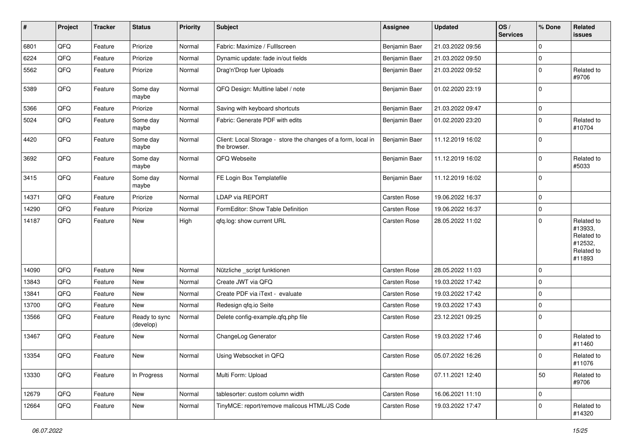| $\sharp$ | Project | <b>Tracker</b> | <b>Status</b>              | <b>Priority</b> | <b>Subject</b>                                                                | <b>Assignee</b> | <b>Updated</b>   | OS/<br><b>Services</b> | % Done      | Related<br>issues                                                      |
|----------|---------|----------------|----------------------------|-----------------|-------------------------------------------------------------------------------|-----------------|------------------|------------------------|-------------|------------------------------------------------------------------------|
| 6801     | QFQ     | Feature        | Priorize                   | Normal          | Fabric: Maximize / Fulllscreen                                                | Benjamin Baer   | 21.03.2022 09:56 |                        | $\mathbf 0$ |                                                                        |
| 6224     | QFQ     | Feature        | Priorize                   | Normal          | Dynamic update: fade in/out fields                                            | Benjamin Baer   | 21.03.2022 09:50 |                        | 0           |                                                                        |
| 5562     | QFQ     | Feature        | Priorize                   | Normal          | Drag'n'Drop fuer Uploads                                                      | Benjamin Baer   | 21.03.2022 09:52 |                        | $\mathbf 0$ | Related to<br>#9706                                                    |
| 5389     | QFQ     | Feature        | Some day<br>maybe          | Normal          | QFQ Design: Multline label / note                                             | Benjamin Baer   | 01.02.2020 23:19 |                        | $\mathbf 0$ |                                                                        |
| 5366     | QFQ     | Feature        | Priorize                   | Normal          | Saving with keyboard shortcuts                                                | Benjamin Baer   | 21.03.2022 09:47 |                        | $\mathbf 0$ |                                                                        |
| 5024     | QFQ     | Feature        | Some day<br>maybe          | Normal          | Fabric: Generate PDF with edits                                               | Benjamin Baer   | 01.02.2020 23:20 |                        | 0           | Related to<br>#10704                                                   |
| 4420     | QFQ     | Feature        | Some day<br>maybe          | Normal          | Client: Local Storage - store the changes of a form, local in<br>the browser. | Benjamin Baer   | 11.12.2019 16:02 |                        | $\mathbf 0$ |                                                                        |
| 3692     | QFQ     | Feature        | Some day<br>maybe          | Normal          | QFQ Webseite                                                                  | Benjamin Baer   | 11.12.2019 16:02 |                        | $\mathbf 0$ | Related to<br>#5033                                                    |
| 3415     | QFQ     | Feature        | Some day<br>maybe          | Normal          | FE Login Box Templatefile                                                     | Benjamin Baer   | 11.12.2019 16:02 |                        | $\mathbf 0$ |                                                                        |
| 14371    | QFQ     | Feature        | Priorize                   | Normal          | <b>LDAP via REPORT</b>                                                        | Carsten Rose    | 19.06.2022 16:37 |                        | $\mathbf 0$ |                                                                        |
| 14290    | QFQ     | Feature        | Priorize                   | Normal          | FormEditor: Show Table Definition                                             | Carsten Rose    | 19.06.2022 16:37 |                        | $\mathbf 0$ |                                                                        |
| 14187    | QFQ     | Feature        | New                        | High            | qfq.log: show current URL                                                     | Carsten Rose    | 28.05.2022 11:02 |                        | $\mathbf 0$ | Related to<br>#13933,<br>Related to<br>#12532,<br>Related to<br>#11893 |
| 14090    | QFQ     | Feature        | <b>New</b>                 | Normal          | Nützliche _script funktionen                                                  | Carsten Rose    | 28.05.2022 11:03 |                        | $\mathbf 0$ |                                                                        |
| 13843    | QFQ     | Feature        | <b>New</b>                 | Normal          | Create JWT via QFQ                                                            | Carsten Rose    | 19.03.2022 17:42 |                        | $\mathbf 0$ |                                                                        |
| 13841    | QFQ     | Feature        | <b>New</b>                 | Normal          | Create PDF via iText - evaluate                                               | Carsten Rose    | 19.03.2022 17:42 |                        | 0           |                                                                        |
| 13700    | QFQ     | Feature        | <b>New</b>                 | Normal          | Redesign qfq.io Seite                                                         | Carsten Rose    | 19.03.2022 17:43 |                        | 0           |                                                                        |
| 13566    | QFQ     | Feature        | Ready to sync<br>(develop) | Normal          | Delete config-example.qfq.php file                                            | Carsten Rose    | 23.12.2021 09:25 |                        | 0           |                                                                        |
| 13467    | QFQ     | Feature        | <b>New</b>                 | Normal          | ChangeLog Generator                                                           | Carsten Rose    | 19.03.2022 17:46 |                        | $\mathbf 0$ | Related to<br>#11460                                                   |
| 13354    | QFQ     | Feature        | New                        | Normal          | Using Websocket in QFQ                                                        | Carsten Rose    | 05.07.2022 16:26 |                        | $\mathbf 0$ | Related to<br>#11076                                                   |
| 13330    | QFQ     | Feature        | In Progress                | Normal          | Multi Form: Upload                                                            | Carsten Rose    | 07.11.2021 12:40 |                        | 50          | Related to<br>#9706                                                    |
| 12679    | QFQ     | Feature        | New                        | Normal          | tablesorter: custom column width                                              | Carsten Rose    | 16.06.2021 11:10 |                        | $\mathbf 0$ |                                                                        |
| 12664    | QFQ     | Feature        | New                        | Normal          | TinyMCE: report/remove malicous HTML/JS Code                                  | Carsten Rose    | 19.03.2022 17:47 |                        | 0           | Related to<br>#14320                                                   |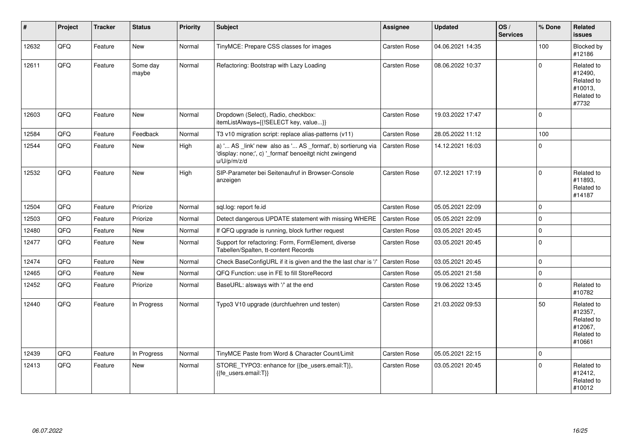| #     | Project | <b>Tracker</b> | <b>Status</b>     | <b>Priority</b> | <b>Subject</b>                                                                                                                        | Assignee     | <b>Updated</b>   | OS/<br><b>Services</b> | % Done      | Related<br><b>issues</b>                                               |
|-------|---------|----------------|-------------------|-----------------|---------------------------------------------------------------------------------------------------------------------------------------|--------------|------------------|------------------------|-------------|------------------------------------------------------------------------|
| 12632 | QFQ     | Feature        | New               | Normal          | TinyMCE: Prepare CSS classes for images                                                                                               | Carsten Rose | 04.06.2021 14:35 |                        | 100         | Blocked by<br>#12186                                                   |
| 12611 | QFQ     | Feature        | Some day<br>maybe | Normal          | Refactoring: Bootstrap with Lazy Loading                                                                                              | Carsten Rose | 08.06.2022 10:37 |                        | $\mathbf 0$ | Related to<br>#12490,<br>Related to<br>#10013,<br>Related to<br>#7732  |
| 12603 | QFQ     | Feature        | <b>New</b>        | Normal          | Dropdown (Select), Radio, checkbox:<br>itemListAlways={{!SELECT key, value}}                                                          | Carsten Rose | 19.03.2022 17:47 |                        | $\Omega$    |                                                                        |
| 12584 | QFQ     | Feature        | Feedback          | Normal          | T3 v10 migration script: replace alias-patterns (v11)                                                                                 | Carsten Rose | 28.05.2022 11:12 |                        | 100         |                                                                        |
| 12544 | QFQ     | Feature        | <b>New</b>        | High            | a) ' AS _link' new also as ' AS _format', b) sortierung via<br>'display: none;', c) '_format' benoeitgt nicht zwingend<br>u/U/p/m/z/d | Carsten Rose | 14.12.2021 16:03 |                        | $\Omega$    |                                                                        |
| 12532 | QFQ     | Feature        | <b>New</b>        | High            | SIP-Parameter bei Seitenaufruf in Browser-Console<br>anzeigen                                                                         | Carsten Rose | 07.12.2021 17:19 |                        | $\mathbf 0$ | Related to<br>#11893,<br>Related to<br>#14187                          |
| 12504 | QFQ     | Feature        | Priorize          | Normal          | sql.log: report fe.id                                                                                                                 | Carsten Rose | 05.05.2021 22:09 |                        | $\mathbf 0$ |                                                                        |
| 12503 | QFQ     | Feature        | Priorize          | Normal          | Detect dangerous UPDATE statement with missing WHERE                                                                                  | Carsten Rose | 05.05.2021 22:09 |                        | $\mathbf 0$ |                                                                        |
| 12480 | QFQ     | Feature        | <b>New</b>        | Normal          | If QFQ upgrade is running, block further request                                                                                      | Carsten Rose | 03.05.2021 20:45 |                        | $\mathbf 0$ |                                                                        |
| 12477 | QFQ     | Feature        | New               | Normal          | Support for refactoring: Form, FormElement, diverse<br>Tabellen/Spalten, tt-content Records                                           | Carsten Rose | 03.05.2021 20:45 |                        | $\mathbf 0$ |                                                                        |
| 12474 | QFQ     | Feature        | New               | Normal          | Check BaseConfigURL if it is given and the the last char is '/'                                                                       | Carsten Rose | 03.05.2021 20:45 |                        | $\mathbf 0$ |                                                                        |
| 12465 | QFQ     | Feature        | <b>New</b>        | Normal          | QFQ Function: use in FE to fill StoreRecord                                                                                           | Carsten Rose | 05.05.2021 21:58 |                        | $\mathbf 0$ |                                                                        |
| 12452 | QFQ     | Feature        | Priorize          | Normal          | BaseURL: alsways with '/' at the end                                                                                                  | Carsten Rose | 19.06.2022 13:45 |                        | $\Omega$    | Related to<br>#10782                                                   |
| 12440 | QFQ     | Feature        | In Progress       | Normal          | Typo3 V10 upgrade (durchfuehren und testen)                                                                                           | Carsten Rose | 21.03.2022 09:53 |                        | 50          | Related to<br>#12357,<br>Related to<br>#12067,<br>Related to<br>#10661 |
| 12439 | QFQ     | Feature        | In Progress       | Normal          | TinyMCE Paste from Word & Character Count/Limit                                                                                       | Carsten Rose | 05.05.2021 22:15 |                        | $\mathbf 0$ |                                                                        |
| 12413 | QFQ     | Feature        | New               | Normal          | STORE_TYPO3: enhance for {{be_users.email:T}},<br>{{fe_users.email:T}}                                                                | Carsten Rose | 03.05.2021 20:45 |                        | $\Omega$    | Related to<br>#12412,<br>Related to<br>#10012                          |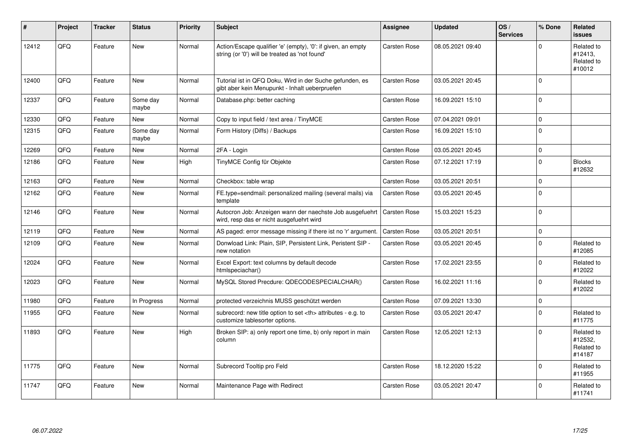| ∦     | Project | <b>Tracker</b> | <b>Status</b>     | <b>Priority</b> | <b>Subject</b>                                                                                                      | Assignee                                               | <b>Updated</b>   | OS/<br><b>Services</b> | % Done              | Related<br><b>issues</b>                      |                      |
|-------|---------|----------------|-------------------|-----------------|---------------------------------------------------------------------------------------------------------------------|--------------------------------------------------------|------------------|------------------------|---------------------|-----------------------------------------------|----------------------|
| 12412 | QFQ     | Feature        | <b>New</b>        | Normal          | Action/Escape qualifier 'e' (empty), '0': if given, an empty<br>string (or '0') will be treated as 'not found'      | Carsten Rose                                           | 08.05.2021 09:40 |                        | $\mathbf 0$         | Related to<br>#12413,<br>Related to<br>#10012 |                      |
| 12400 | QFQ     | Feature        | <b>New</b>        | Normal          | Tutorial ist in QFQ Doku, Wird in der Suche gefunden, es<br>gibt aber kein Menupunkt - Inhalt ueberpruefen          | Carsten Rose                                           | 03.05.2021 20:45 |                        | $\mathbf 0$         |                                               |                      |
| 12337 | QFQ     | Feature        | Some day<br>maybe | Normal          | Database.php: better caching                                                                                        | Carsten Rose                                           | 16.09.2021 15:10 |                        | $\mathbf 0$         |                                               |                      |
| 12330 | QFQ     | Feature        | <b>New</b>        | Normal          | Copy to input field / text area / TinyMCE                                                                           | Carsten Rose                                           | 07.04.2021 09:01 |                        | $\mathsf{O}\xspace$ |                                               |                      |
| 12315 | QFQ     | Feature        | Some day<br>maybe | Normal          | Form History (Diffs) / Backups                                                                                      | Carsten Rose                                           | 16.09.2021 15:10 |                        | $\mathbf 0$         |                                               |                      |
| 12269 | QFQ     | Feature        | <b>New</b>        | Normal          | 2FA - Login                                                                                                         | Carsten Rose                                           | 03.05.2021 20:45 |                        | $\mathbf{0}$        |                                               |                      |
| 12186 | QFQ     | Feature        | <b>New</b>        | High            | TinyMCE Config für Objekte                                                                                          | Carsten Rose                                           | 07.12.2021 17:19 |                        | $\Omega$            | <b>Blocks</b><br>#12632                       |                      |
| 12163 | QFQ     | Feature        | <b>New</b>        | Normal          | Checkbox: table wrap                                                                                                | Carsten Rose                                           | 03.05.2021 20:51 |                        | $\mathbf 0$         |                                               |                      |
| 12162 | QFQ     | Feature        | <b>New</b>        | Normal          | FE.type=sendmail: personalized mailing (several mails) via<br>template                                              | Carsten Rose                                           | 03.05.2021 20:45 |                        | $\mathbf 0$         |                                               |                      |
| 12146 | QFQ     | Feature        | <b>New</b>        | Normal          | Autocron Job: Anzeigen wann der naechste Job ausgefuehrt   Carsten Rose<br>wird, resp das er nicht ausgefuehrt wird |                                                        | 15.03.2021 15:23 |                        | $\mathbf 0$         |                                               |                      |
| 12119 | QFQ     | Feature        | <b>New</b>        | Normal          | AS paged: error message missing if there ist no 'r' argument.                                                       | <b>Carsten Rose</b>                                    | 03.05.2021 20:51 |                        | $\mathsf{O}\xspace$ |                                               |                      |
| 12109 | QFQ     | Feature        | <b>New</b>        | Normal          | Donwload Link: Plain, SIP, Persistent Link, Peristent SIP -<br>new notation                                         | Carsten Rose                                           | 03.05.2021 20:45 |                        | $\Omega$            | Related to<br>#12085                          |                      |
| 12024 | QFQ     | Feature        | New               | Normal          | Excel Export: text columns by default decode<br>htmlspeciachar()                                                    | Carsten Rose                                           | 17.02.2021 23:55 |                        | $\mathbf 0$         | Related to<br>#12022                          |                      |
| 12023 | QFQ     | Feature        | <b>New</b>        | Normal          | MySQL Stored Precdure: QDECODESPECIALCHAR()                                                                         | Carsten Rose                                           | 16.02.2021 11:16 |                        | $\mathbf 0$         | Related to<br>#12022                          |                      |
| 11980 | QFQ     | Feature        | In Progress       | Normal          | protected verzeichnis MUSS geschützt werden                                                                         | Carsten Rose                                           | 07.09.2021 13:30 |                        | $\mathbf 0$         |                                               |                      |
| 11955 | QFQ     | Feature        | <b>New</b>        | Normal          | subrecord: new title option to set <th> attributes - e.g. to<br/>customize tablesorter options.</th>                | attributes - e.g. to<br>customize tablesorter options. | Carsten Rose     | 03.05.2021 20:47       |                     | $\mathbf 0$                                   | Related to<br>#11775 |
| 11893 | QFQ     | Feature        | <b>New</b>        | High            | Broken SIP: a) only report one time, b) only report in main<br>column                                               | Carsten Rose                                           | 12.05.2021 12:13 |                        | $\mathbf 0$         | Related to<br>#12532,<br>Related to<br>#14187 |                      |
| 11775 | QFQ     | Feature        | <b>New</b>        | Normal          | Subrecord Tooltip pro Feld                                                                                          | Carsten Rose                                           | 18.12.2020 15:22 |                        | $\mathbf 0$         | Related to<br>#11955                          |                      |
| 11747 | QFQ     | Feature        | <b>New</b>        | Normal          | Maintenance Page with Redirect                                                                                      | Carsten Rose                                           | 03.05.2021 20:47 |                        | $\mathbf 0$         | Related to<br>#11741                          |                      |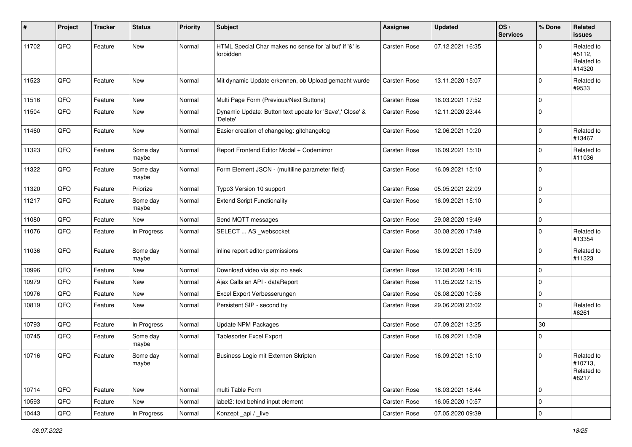| #     | Project | <b>Tracker</b> | <b>Status</b>     | <b>Priority</b> | <b>Subject</b>                                                       | <b>Assignee</b> | <b>Updated</b>   | OS/<br><b>Services</b> | % Done      | Related<br><b>issues</b>                     |
|-------|---------|----------------|-------------------|-----------------|----------------------------------------------------------------------|-----------------|------------------|------------------------|-------------|----------------------------------------------|
| 11702 | QFQ     | Feature        | New               | Normal          | HTML Special Char makes no sense for 'allbut' if '&' is<br>forbidden | Carsten Rose    | 07.12.2021 16:35 |                        | $\Omega$    | Related to<br>#5112,<br>Related to<br>#14320 |
| 11523 | QFQ     | Feature        | New               | Normal          | Mit dynamic Update erkennen, ob Upload gemacht wurde                 | Carsten Rose    | 13.11.2020 15:07 |                        | $\mathbf 0$ | Related to<br>#9533                          |
| 11516 | QFQ     | Feature        | New               | Normal          | Multi Page Form (Previous/Next Buttons)                              | Carsten Rose    | 16.03.2021 17:52 |                        | $\mathbf 0$ |                                              |
| 11504 | QFQ     | Feature        | New               | Normal          | Dynamic Update: Button text update for 'Save',' Close' &<br>'Delete' | Carsten Rose    | 12.11.2020 23:44 |                        | $\mathbf 0$ |                                              |
| 11460 | QFQ     | Feature        | New               | Normal          | Easier creation of changelog: gitchangelog                           | Carsten Rose    | 12.06.2021 10:20 |                        | $\mathbf 0$ | Related to<br>#13467                         |
| 11323 | QFQ     | Feature        | Some day<br>maybe | Normal          | Report Frontend Editor Modal + Codemirror                            | Carsten Rose    | 16.09.2021 15:10 |                        | $\mathbf 0$ | Related to<br>#11036                         |
| 11322 | QFQ     | Feature        | Some day<br>maybe | Normal          | Form Element JSON - (multiline parameter field)                      | Carsten Rose    | 16.09.2021 15:10 |                        | $\mathbf 0$ |                                              |
| 11320 | QFQ     | Feature        | Priorize          | Normal          | Typo3 Version 10 support                                             | Carsten Rose    | 05.05.2021 22:09 |                        | $\mathbf 0$ |                                              |
| 11217 | QFQ     | Feature        | Some day<br>maybe | Normal          | <b>Extend Script Functionality</b>                                   | Carsten Rose    | 16.09.2021 15:10 |                        | $\mathbf 0$ |                                              |
| 11080 | QFQ     | Feature        | New               | Normal          | Send MQTT messages                                                   | Carsten Rose    | 29.08.2020 19:49 |                        | $\mathbf 0$ |                                              |
| 11076 | QFQ     | Feature        | In Progress       | Normal          | SELECT  AS _websocket                                                | Carsten Rose    | 30.08.2020 17:49 |                        | $\mathbf 0$ | Related to<br>#13354                         |
| 11036 | QFQ     | Feature        | Some day<br>maybe | Normal          | inline report editor permissions                                     | Carsten Rose    | 16.09.2021 15:09 |                        | $\mathbf 0$ | Related to<br>#11323                         |
| 10996 | QFQ     | Feature        | New               | Normal          | Download video via sip: no seek                                      | Carsten Rose    | 12.08.2020 14:18 |                        | $\mathbf 0$ |                                              |
| 10979 | QFQ     | Feature        | New               | Normal          | Ajax Calls an API - dataReport                                       | Carsten Rose    | 11.05.2022 12:15 |                        | $\mathbf 0$ |                                              |
| 10976 | QFQ     | Feature        | <b>New</b>        | Normal          | Excel Export Verbesserungen                                          | Carsten Rose    | 06.08.2020 10:56 |                        | $\mathbf 0$ |                                              |
| 10819 | QFQ     | Feature        | New               | Normal          | Persistent SIP - second try                                          | Carsten Rose    | 29.06.2020 23:02 |                        | $\mathbf 0$ | Related to<br>#6261                          |
| 10793 | QFQ     | Feature        | In Progress       | Normal          | <b>Update NPM Packages</b>                                           | Carsten Rose    | 07.09.2021 13:25 |                        | 30          |                                              |
| 10745 | QFQ     | Feature        | Some day<br>maybe | Normal          | <b>Tablesorter Excel Export</b>                                      | Carsten Rose    | 16.09.2021 15:09 |                        | $\mathbf 0$ |                                              |
| 10716 | QFQ     | Feature        | Some day<br>maybe | Normal          | Business Logic mit Externen Skripten                                 | Carsten Rose    | 16.09.2021 15:10 |                        | 0           | Related to<br>#10713,<br>Related to<br>#8217 |
| 10714 | QFQ     | Feature        | New               | Normal          | multi Table Form                                                     | Carsten Rose    | 16.03.2021 18:44 |                        | $\mathbf 0$ |                                              |
| 10593 | QFQ     | Feature        | New               | Normal          | label2: text behind input element                                    | Carsten Rose    | 16.05.2020 10:57 |                        | $\mathbf 0$ |                                              |
| 10443 | QFG     | Feature        | In Progress       | Normal          | Konzept_api / _live                                                  | Carsten Rose    | 07.05.2020 09:39 |                        | $\mathsf 0$ |                                              |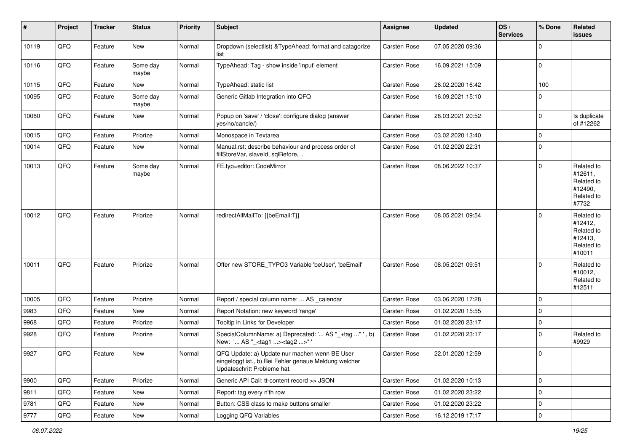| $\sharp$ | Project | <b>Tracker</b> | <b>Status</b>     | <b>Priority</b> | Subject                                                                                                                               | <b>Assignee</b>     | <b>Updated</b>   | OS/<br><b>Services</b> | % Done       | Related<br>issues                                                      |
|----------|---------|----------------|-------------------|-----------------|---------------------------------------------------------------------------------------------------------------------------------------|---------------------|------------------|------------------------|--------------|------------------------------------------------------------------------|
| 10119    | QFQ     | Feature        | New               | Normal          | Dropdown (selectlist) & TypeAhead: format and catagorize<br>list                                                                      | Carsten Rose        | 07.05.2020 09:36 |                        | $\Omega$     |                                                                        |
| 10116    | QFQ     | Feature        | Some day<br>maybe | Normal          | TypeAhead: Tag - show inside 'input' element                                                                                          | Carsten Rose        | 16.09.2021 15:09 |                        | $\mathbf 0$  |                                                                        |
| 10115    | QFQ     | Feature        | New               | Normal          | TypeAhead: static list                                                                                                                | Carsten Rose        | 26.02.2020 16:42 |                        | 100          |                                                                        |
| 10095    | QFQ     | Feature        | Some day<br>maybe | Normal          | Generic Gitlab Integration into QFQ                                                                                                   | Carsten Rose        | 16.09.2021 15:10 |                        | $\Omega$     |                                                                        |
| 10080    | QFQ     | Feature        | New               | Normal          | Popup on 'save' / 'close': configure dialog (answer<br>yes/no/cancle/)                                                                | Carsten Rose        | 28.03.2021 20:52 |                        | $\mathbf{0}$ | Is duplicate<br>of #12262                                              |
| 10015    | QFQ     | Feature        | Priorize          | Normal          | Monospace in Textarea                                                                                                                 | Carsten Rose        | 03.02.2020 13:40 |                        | $\mathbf 0$  |                                                                        |
| 10014    | QFQ     | Feature        | New               | Normal          | Manual.rst: describe behaviour and process order of<br>fillStoreVar, slaveId, sqlBefore,                                              | Carsten Rose        | 01.02.2020 22:31 |                        | $\mathbf 0$  |                                                                        |
| 10013    | QFQ     | Feature        | Some day<br>maybe | Normal          | FE.typ=editor: CodeMirror                                                                                                             | Carsten Rose        | 08.06.2022 10:37 |                        | $\mathbf 0$  | Related to<br>#12611,<br>Related to<br>#12490,<br>Related to<br>#7732  |
| 10012    | QFQ     | Feature        | Priorize          | Normal          | redirectAllMailTo: {{beEmail:T}}                                                                                                      | Carsten Rose        | 08.05.2021 09:54 |                        | $\Omega$     | Related to<br>#12412,<br>Related to<br>#12413,<br>Related to<br>#10011 |
| 10011    | QFQ     | Feature        | Priorize          | Normal          | Offer new STORE_TYPO3 Variable 'beUser', 'beEmail'                                                                                    | <b>Carsten Rose</b> | 08.05.2021 09:51 |                        | $\Omega$     | Related to<br>#10012,<br>Related to<br>#12511                          |
| 10005    | QFQ     | Feature        | Priorize          | Normal          | Report / special column name:  AS _calendar                                                                                           | Carsten Rose        | 03.06.2020 17:28 |                        | l 0          |                                                                        |
| 9983     | QFQ     | Feature        | New               | Normal          | Report Notation: new keyword 'range'                                                                                                  | Carsten Rose        | 01.02.2020 15:55 |                        | $\mathbf 0$  |                                                                        |
| 9968     | QFQ     | Feature        | Priorize          | Normal          | Tooltip in Links for Developer                                                                                                        | Carsten Rose        | 01.02.2020 23:17 |                        | $\mathbf 0$  |                                                                        |
| 9928     | QFQ     | Feature        | Priorize          | Normal          | SpecialColumnName: a) Deprecated: ' AS "_+tag " ', b)<br>New: ' AS "_ <tag1><tag2>"'</tag2></tag1>                                    | Carsten Rose        | 01.02.2020 23:17 |                        | $\mathbf 0$  | Related to<br>#9929                                                    |
| 9927     | QFQ     | Feature        | New               | Normal          | QFQ Update: a) Update nur machen wenn BE User<br>eingeloggt ist., b) Bei Fehler genaue Meldung welcher<br>Updateschritt Probleme hat. | Carsten Rose        | 22.01.2020 12:59 |                        | l 0          |                                                                        |
| 9900     | QFQ     | Feature        | Priorize          | Normal          | Generic API Call: tt-content record >> JSON                                                                                           | Carsten Rose        | 01.02.2020 10:13 |                        | 0            |                                                                        |
| 9811     | QFQ     | Feature        | New               | Normal          | Report: tag every n'th row                                                                                                            | Carsten Rose        | 01.02.2020 23:22 |                        | $\mathbf 0$  |                                                                        |
| 9781     | QFQ     | Feature        | New               | Normal          | Button: CSS class to make buttons smaller                                                                                             | Carsten Rose        | 01.02.2020 23:22 |                        | $\mathbf 0$  |                                                                        |
| 9777     | QFQ     | Feature        | New               | Normal          | Logging QFQ Variables                                                                                                                 | Carsten Rose        | 16.12.2019 17:17 |                        | $\mathbf 0$  |                                                                        |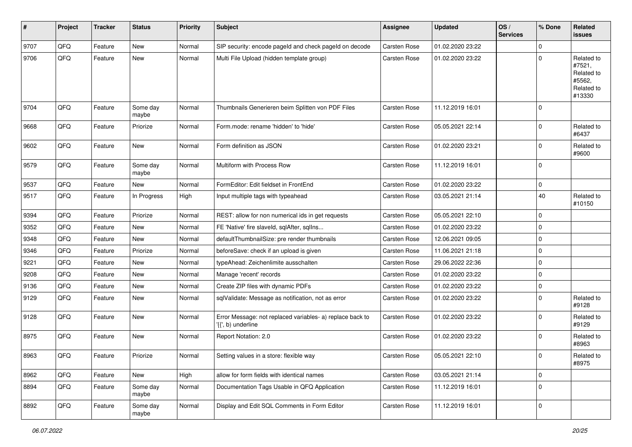| ∦    | Project | <b>Tracker</b> | <b>Status</b>     | <b>Priority</b> | Subject                                                                         | <b>Assignee</b>     | <b>Updated</b>   | OS/<br><b>Services</b> | % Done      | Related<br><b>issues</b>                                             |
|------|---------|----------------|-------------------|-----------------|---------------------------------------------------------------------------------|---------------------|------------------|------------------------|-------------|----------------------------------------------------------------------|
| 9707 | QFQ     | Feature        | <b>New</b>        | Normal          | SIP security: encode pageId and check pageId on decode                          | <b>Carsten Rose</b> | 01.02.2020 23:22 |                        | $\mathbf 0$ |                                                                      |
| 9706 | QFQ     | Feature        | New               | Normal          | Multi File Upload (hidden template group)                                       | Carsten Rose        | 01.02.2020 23:22 |                        | $\mathbf 0$ | Related to<br>#7521,<br>Related to<br>#5562.<br>Related to<br>#13330 |
| 9704 | QFQ     | Feature        | Some day<br>maybe | Normal          | Thumbnails Generieren beim Splitten von PDF Files                               | Carsten Rose        | 11.12.2019 16:01 |                        | $\mathbf 0$ |                                                                      |
| 9668 | QFQ     | Feature        | Priorize          | Normal          | Form.mode: rename 'hidden' to 'hide'                                            | Carsten Rose        | 05.05.2021 22:14 |                        | $\mathbf 0$ | Related to<br>#6437                                                  |
| 9602 | QFQ     | Feature        | New               | Normal          | Form definition as JSON                                                         | Carsten Rose        | 01.02.2020 23:21 |                        | $\mathbf 0$ | Related to<br>#9600                                                  |
| 9579 | QFQ     | Feature        | Some day<br>maybe | Normal          | Multiform with Process Row                                                      | Carsten Rose        | 11.12.2019 16:01 |                        | $\mathbf 0$ |                                                                      |
| 9537 | QFQ     | Feature        | New               | Normal          | FormEditor: Edit fieldset in FrontEnd                                           | Carsten Rose        | 01.02.2020 23:22 |                        | $\mathbf 0$ |                                                                      |
| 9517 | QFQ     | Feature        | In Progress       | High            | Input multiple tags with typeahead                                              | Carsten Rose        | 03.05.2021 21:14 |                        | 40          | Related to<br>#10150                                                 |
| 9394 | QFQ     | Feature        | Priorize          | Normal          | REST: allow for non numerical ids in get requests                               | Carsten Rose        | 05.05.2021 22:10 |                        | $\mathbf 0$ |                                                                      |
| 9352 | QFQ     | Feature        | <b>New</b>        | Normal          | FE 'Native' fire slaveld, sqlAfter, sqlIns                                      | Carsten Rose        | 01.02.2020 23:22 |                        | $\pmb{0}$   |                                                                      |
| 9348 | QFQ     | Feature        | New               | Normal          | defaultThumbnailSize: pre render thumbnails                                     | Carsten Rose        | 12.06.2021 09:05 |                        | $\mathbf 0$ |                                                                      |
| 9346 | QFQ     | Feature        | Priorize          | Normal          | beforeSave: check if an upload is given                                         | Carsten Rose        | 11.06.2021 21:18 |                        | $\mathbf 0$ |                                                                      |
| 9221 | QFQ     | Feature        | <b>New</b>        | Normal          | typeAhead: Zeichenlimite ausschalten                                            | Carsten Rose        | 29.06.2022 22:36 |                        | $\mathbf 0$ |                                                                      |
| 9208 | QFQ     | Feature        | New               | Normal          | Manage 'recent' records                                                         | Carsten Rose        | 01.02.2020 23:22 |                        | $\mathbf 0$ |                                                                      |
| 9136 | QFQ     | Feature        | New               | Normal          | Create ZIP files with dynamic PDFs                                              | Carsten Rose        | 01.02.2020 23:22 |                        | $\mathbf 0$ |                                                                      |
| 9129 | QFQ     | Feature        | <b>New</b>        | Normal          | sqlValidate: Message as notification, not as error                              | Carsten Rose        | 01.02.2020 23:22 |                        | $\mathbf 0$ | Related to<br>#9128                                                  |
| 9128 | QFQ     | Feature        | <b>New</b>        | Normal          | Error Message: not replaced variables- a) replace back to<br>'{{', b) underline | Carsten Rose        | 01.02.2020 23:22 |                        | $\mathbf 0$ | Related to<br>#9129                                                  |
| 8975 | QFQ     | Feature        | <b>New</b>        | Normal          | Report Notation: 2.0                                                            | Carsten Rose        | 01.02.2020 23:22 |                        | $\mathbf 0$ | Related to<br>#8963                                                  |
| 8963 | QFQ     | Feature        | Priorize          | Normal          | Setting values in a store: flexible way                                         | Carsten Rose        | 05.05.2021 22:10 |                        | $\mathbf 0$ | Related to<br>#8975                                                  |
| 8962 | QFQ     | Feature        | New               | High            | allow for form fields with identical names                                      | Carsten Rose        | 03.05.2021 21:14 |                        | $\mathbf 0$ |                                                                      |
| 8894 | QFQ     | Feature        | Some day<br>maybe | Normal          | Documentation Tags Usable in QFQ Application                                    | Carsten Rose        | 11.12.2019 16:01 |                        | $\mathbf 0$ |                                                                      |
| 8892 | QFQ     | Feature        | Some day<br>maybe | Normal          | Display and Edit SQL Comments in Form Editor                                    | Carsten Rose        | 11.12.2019 16:01 |                        | $\mathbf 0$ |                                                                      |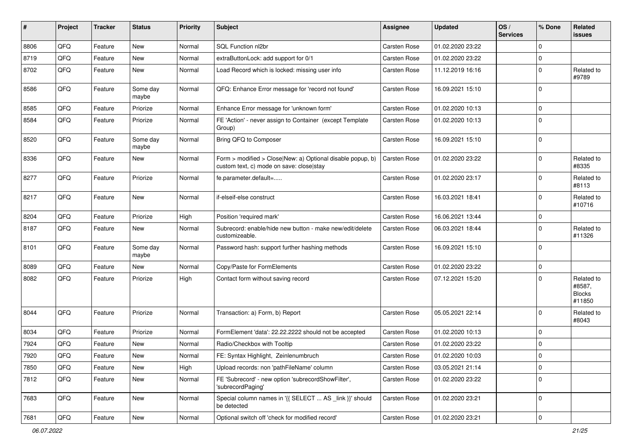| $\pmb{\#}$ | Project        | <b>Tracker</b> | <b>Status</b>     | <b>Priority</b> | <b>Subject</b>                                                                                         | <b>Assignee</b>     | <b>Updated</b>   | OS/<br><b>Services</b> | % Done         | Related<br>issues                               |
|------------|----------------|----------------|-------------------|-----------------|--------------------------------------------------------------------------------------------------------|---------------------|------------------|------------------------|----------------|-------------------------------------------------|
| 8806       | QFQ            | Feature        | <b>New</b>        | Normal          | SQL Function nl2br                                                                                     | <b>Carsten Rose</b> | 01.02.2020 23:22 |                        | $\mathbf 0$    |                                                 |
| 8719       | QFQ            | Feature        | <b>New</b>        | Normal          | extraButtonLock: add support for 0/1                                                                   | Carsten Rose        | 01.02.2020 23:22 |                        | 0              |                                                 |
| 8702       | QFQ            | Feature        | New               | Normal          | Load Record which is locked: missing user info                                                         | Carsten Rose        | 11.12.2019 16:16 |                        | $\mathbf 0$    | Related to<br>#9789                             |
| 8586       | QFQ            | Feature        | Some day<br>maybe | Normal          | QFQ: Enhance Error message for 'record not found'                                                      | Carsten Rose        | 16.09.2021 15:10 |                        | $\Omega$       |                                                 |
| 8585       | QFQ            | Feature        | Priorize          | Normal          | Enhance Error message for 'unknown form'                                                               | Carsten Rose        | 01.02.2020 10:13 |                        | $\mathbf 0$    |                                                 |
| 8584       | QFQ            | Feature        | Priorize          | Normal          | FE 'Action' - never assign to Container (except Template<br>Group)                                     | Carsten Rose        | 01.02.2020 10:13 |                        | $\mathbf 0$    |                                                 |
| 8520       | QFQ            | Feature        | Some day<br>maybe | Normal          | Bring QFQ to Composer                                                                                  | Carsten Rose        | 16.09.2021 15:10 |                        | $\mathbf 0$    |                                                 |
| 8336       | QFQ            | Feature        | New               | Normal          | Form > modified > Close New: a) Optional disable popup, b)<br>custom text, c) mode on save: close stay | <b>Carsten Rose</b> | 01.02.2020 23:22 |                        | $\mathbf 0$    | Related to<br>#8335                             |
| 8277       | QFQ            | Feature        | Priorize          | Normal          | fe.parameter.default=                                                                                  | Carsten Rose        | 01.02.2020 23:17 |                        | $\mathbf 0$    | Related to<br>#8113                             |
| 8217       | QFQ            | Feature        | New               | Normal          | if-elseif-else construct                                                                               | Carsten Rose        | 16.03.2021 18:41 |                        | $\Omega$       | Related to<br>#10716                            |
| 8204       | QFQ            | Feature        | Priorize          | High            | Position 'required mark'                                                                               | <b>Carsten Rose</b> | 16.06.2021 13:44 |                        | $\mathbf 0$    |                                                 |
| 8187       | QFQ            | Feature        | New               | Normal          | Subrecord: enable/hide new button - make new/edit/delete<br>customizeable.                             | Carsten Rose        | 06.03.2021 18:44 |                        | $\mathbf 0$    | Related to<br>#11326                            |
| 8101       | QFQ            | Feature        | Some day<br>maybe | Normal          | Password hash: support further hashing methods                                                         | Carsten Rose        | 16.09.2021 15:10 |                        | $\mathbf 0$    |                                                 |
| 8089       | QFQ            | Feature        | <b>New</b>        | Normal          | Copy/Paste for FormElements                                                                            | Carsten Rose        | 01.02.2020 23:22 |                        | $\mathbf 0$    |                                                 |
| 8082       | QFQ            | Feature        | Priorize          | High            | Contact form without saving record                                                                     | Carsten Rose        | 07.12.2021 15:20 |                        | $\Omega$       | Related to<br>#8587,<br><b>Blocks</b><br>#11850 |
| 8044       | QFQ            | Feature        | Priorize          | Normal          | Transaction: a) Form, b) Report                                                                        | Carsten Rose        | 05.05.2021 22:14 |                        | $\mathbf 0$    | Related to<br>#8043                             |
| 8034       | QFQ            | Feature        | Priorize          | Normal          | FormElement 'data': 22.22.2222 should not be accepted                                                  | Carsten Rose        | 01.02.2020 10:13 |                        | $\Omega$       |                                                 |
| 7924       | QFQ            | Feature        | <b>New</b>        | Normal          | Radio/Checkbox with Tooltip                                                                            | Carsten Rose        | 01.02.2020 23:22 |                        | $\overline{0}$ |                                                 |
| 7920       | $\mathsf{QFQ}$ | Feature        | New               | Normal          | FE: Syntax Highlight, Zeinlenumbruch                                                                   | Carsten Rose        | 01.02.2020 10:03 |                        | 0              |                                                 |
| 7850       | QFQ            | Feature        | New               | High            | Upload records: non 'pathFileName' column                                                              | Carsten Rose        | 03.05.2021 21:14 |                        | $\mathbf 0$    |                                                 |
| 7812       | QFQ            | Feature        | New               | Normal          | FE 'Subrecord' - new option 'subrecordShowFilter',<br>'subrecordPaging'                                | Carsten Rose        | 01.02.2020 23:22 |                        | 0              |                                                 |
| 7683       | QFQ            | Feature        | New               | Normal          | Special column names in '{{ SELECT  AS _link }}' should<br>be detected                                 | Carsten Rose        | 01.02.2020 23:21 |                        | 0              |                                                 |
| 7681       | QFG            | Feature        | New               | Normal          | Optional switch off 'check for modified record'                                                        | Carsten Rose        | 01.02.2020 23:21 |                        | 0              |                                                 |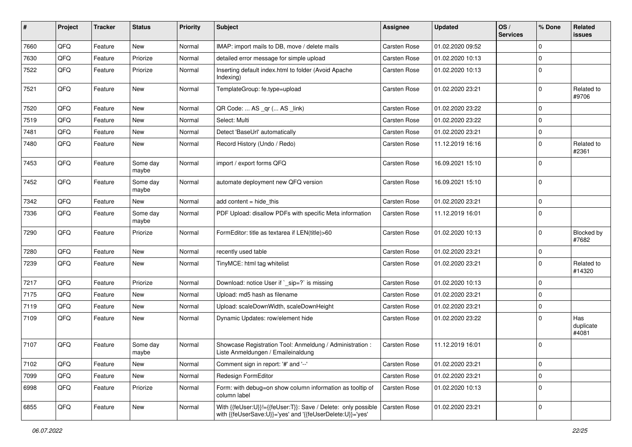| $\sharp$ | Project | <b>Tracker</b> | <b>Status</b>     | <b>Priority</b> | <b>Subject</b>                                                                                                             | <b>Assignee</b> | <b>Updated</b>   | OS/<br><b>Services</b> | % Done         | Related<br>issues         |
|----------|---------|----------------|-------------------|-----------------|----------------------------------------------------------------------------------------------------------------------------|-----------------|------------------|------------------------|----------------|---------------------------|
| 7660     | QFQ     | Feature        | <b>New</b>        | Normal          | IMAP: import mails to DB, move / delete mails                                                                              | Carsten Rose    | 01.02.2020 09:52 |                        | $\mathbf 0$    |                           |
| 7630     | QFQ     | Feature        | Priorize          | Normal          | detailed error message for simple upload                                                                                   | Carsten Rose    | 01.02.2020 10:13 |                        | 0              |                           |
| 7522     | QFQ     | Feature        | Priorize          | Normal          | Inserting default index.html to folder (Avoid Apache<br>Indexing)                                                          | Carsten Rose    | 01.02.2020 10:13 |                        | $\mathbf 0$    |                           |
| 7521     | QFQ     | Feature        | <b>New</b>        | Normal          | TemplateGroup: fe.type=upload                                                                                              | Carsten Rose    | 01.02.2020 23:21 |                        | $\Omega$       | Related to<br>#9706       |
| 7520     | QFQ     | Feature        | <b>New</b>        | Normal          | QR Code:  AS _qr ( AS _link)                                                                                               | Carsten Rose    | 01.02.2020 23:22 |                        | $\mathbf 0$    |                           |
| 7519     | QFQ     | Feature        | New               | Normal          | Select: Multi                                                                                                              | Carsten Rose    | 01.02.2020 23:22 |                        | $\Omega$       |                           |
| 7481     | QFQ     | Feature        | <b>New</b>        | Normal          | Detect 'BaseUrl' automatically                                                                                             | Carsten Rose    | 01.02.2020 23:21 |                        | $\overline{0}$ |                           |
| 7480     | QFQ     | Feature        | New               | Normal          | Record History (Undo / Redo)                                                                                               | Carsten Rose    | 11.12.2019 16:16 |                        | 0              | Related to<br>#2361       |
| 7453     | QFQ     | Feature        | Some day<br>maybe | Normal          | import / export forms QFQ                                                                                                  | Carsten Rose    | 16.09.2021 15:10 |                        | $\mathbf 0$    |                           |
| 7452     | QFQ     | Feature        | Some day<br>maybe | Normal          | automate deployment new QFQ version                                                                                        | Carsten Rose    | 16.09.2021 15:10 |                        | 0              |                           |
| 7342     | QFQ     | Feature        | New               | Normal          | add content $=$ hide this                                                                                                  | Carsten Rose    | 01.02.2020 23:21 |                        | $\mathbf 0$    |                           |
| 7336     | QFQ     | Feature        | Some day<br>maybe | Normal          | PDF Upload: disallow PDFs with specific Meta information                                                                   | Carsten Rose    | 11.12.2019 16:01 |                        | $\Omega$       |                           |
| 7290     | QFQ     | Feature        | Priorize          | Normal          | FormEditor: title as textarea if LEN(title)>60                                                                             | Carsten Rose    | 01.02.2020 10:13 |                        | $\mathbf 0$    | Blocked by<br>#7682       |
| 7280     | QFQ     | Feature        | <b>New</b>        | Normal          | recently used table                                                                                                        | Carsten Rose    | 01.02.2020 23:21 |                        | 0              |                           |
| 7239     | QFQ     | Feature        | New               | Normal          | TinyMCE: html tag whitelist                                                                                                | Carsten Rose    | 01.02.2020 23:21 |                        | $\mathbf 0$    | Related to<br>#14320      |
| 7217     | QFQ     | Feature        | Priorize          | Normal          | Download: notice User if `_sip=?` is missing                                                                               | Carsten Rose    | 01.02.2020 10:13 |                        | $\mathbf 0$    |                           |
| 7175     | QFQ     | Feature        | New               | Normal          | Upload: md5 hash as filename                                                                                               | Carsten Rose    | 01.02.2020 23:21 |                        | $\mathbf 0$    |                           |
| 7119     | QFQ     | Feature        | New               | Normal          | Upload: scaleDownWidth, scaleDownHeight                                                                                    | Carsten Rose    | 01.02.2020 23:21 |                        | $\mathbf 0$    |                           |
| 7109     | QFQ     | Feature        | New               | Normal          | Dynamic Updates: row/element hide                                                                                          | Carsten Rose    | 01.02.2020 23:22 |                        | 0              | Has<br>duplicate<br>#4081 |
| 7107     | QFQ     | Feature        | Some day<br>maybe | Normal          | Showcase Registration Tool: Anmeldung / Administration :<br>Liste Anmeldungen / Emaileinaldung                             | Carsten Rose    | 11.12.2019 16:01 |                        | $\mathbf 0$    |                           |
| 7102     | QFQ     | Feature        | <b>New</b>        | Normal          | Comment sign in report: '#' and '--'                                                                                       | Carsten Rose    | 01.02.2020 23:21 |                        | 0              |                           |
| 7099     | QFQ     | Feature        | New               | Normal          | Redesign FormEditor                                                                                                        | Carsten Rose    | 01.02.2020 23:21 |                        | $\mathbf 0$    |                           |
| 6998     | QFQ     | Feature        | Priorize          | Normal          | Form: with debug=on show column information as tooltip of<br>column label                                                  | Carsten Rose    | 01.02.2020 10:13 |                        | $\mathbf 0$    |                           |
| 6855     | QFQ     | Feature        | New               | Normal          | With {{feUser:U}}!={{feUser:T}}: Save / Delete: only possible<br>with {{feUserSave:U}}='yes' and '{{feUserDelete:U}}='yes' | Carsten Rose    | 01.02.2020 23:21 |                        | 0              |                           |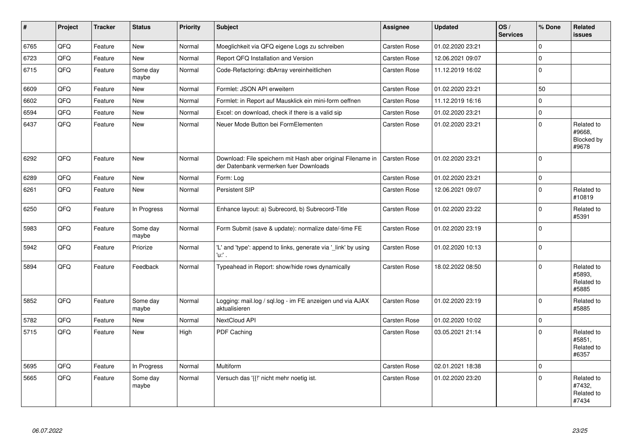| $\vert$ # | Project | <b>Tracker</b> | <b>Status</b>     | Priority | Subject                                                                                               | <b>Assignee</b>     | <b>Updated</b>   | OS/<br><b>Services</b> | % Done       | Related<br><b>issues</b>                    |
|-----------|---------|----------------|-------------------|----------|-------------------------------------------------------------------------------------------------------|---------------------|------------------|------------------------|--------------|---------------------------------------------|
| 6765      | QFQ     | Feature        | <b>New</b>        | Normal   | Moeglichkeit via QFQ eigene Logs zu schreiben                                                         | <b>Carsten Rose</b> | 01.02.2020 23:21 |                        | $\Omega$     |                                             |
| 6723      | QFQ     | Feature        | New               | Normal   | Report QFQ Installation and Version                                                                   | Carsten Rose        | 12.06.2021 09:07 |                        | $\mathbf 0$  |                                             |
| 6715      | QFQ     | Feature        | Some day<br>maybe | Normal   | Code-Refactoring: dbArray vereinheitlichen                                                            | Carsten Rose        | 11.12.2019 16:02 |                        | $\Omega$     |                                             |
| 6609      | QFQ     | Feature        | <b>New</b>        | Normal   | Formlet: JSON API erweitern                                                                           | <b>Carsten Rose</b> | 01.02.2020 23:21 |                        | 50           |                                             |
| 6602      | QFQ     | Feature        | <b>New</b>        | Normal   | Formlet: in Report auf Mausklick ein mini-form oeffnen                                                | <b>Carsten Rose</b> | 11.12.2019 16:16 |                        | $\Omega$     |                                             |
| 6594      | QFQ     | Feature        | <b>New</b>        | Normal   | Excel: on download, check if there is a valid sip                                                     | Carsten Rose        | 01.02.2020 23:21 |                        | $\mathbf 0$  |                                             |
| 6437      | QFQ     | Feature        | <b>New</b>        | Normal   | Neuer Mode Button bei FormElementen                                                                   | Carsten Rose        | 01.02.2020 23:21 |                        | $\Omega$     | Related to<br>#9668,<br>Blocked by<br>#9678 |
| 6292      | QFQ     | Feature        | <b>New</b>        | Normal   | Download: File speichern mit Hash aber original Filename in<br>der Datenbank vermerken fuer Downloads | Carsten Rose        | 01.02.2020 23:21 |                        | $\Omega$     |                                             |
| 6289      | QFQ     | Feature        | <b>New</b>        | Normal   | Form: Log                                                                                             | Carsten Rose        | 01.02.2020 23:21 |                        | $\mathbf{0}$ |                                             |
| 6261      | QFQ     | Feature        | <b>New</b>        | Normal   | Persistent SIP                                                                                        | Carsten Rose        | 12.06.2021 09:07 |                        | $\Omega$     | Related to<br>#10819                        |
| 6250      | QFQ     | Feature        | In Progress       | Normal   | Enhance layout: a) Subrecord, b) Subrecord-Title                                                      | Carsten Rose        | 01.02.2020 23:22 |                        | $\Omega$     | Related to<br>#5391                         |
| 5983      | QFQ     | Feature        | Some day<br>maybe | Normal   | Form Submit (save & update): normalize date/-time FE                                                  | Carsten Rose        | 01.02.2020 23:19 |                        | $\mathbf 0$  |                                             |
| 5942      | QFQ     | Feature        | Priorize          | Normal   | 'L' and 'type': append to links, generate via '_link' by using<br>'u:' .                              | Carsten Rose        | 01.02.2020 10:13 |                        | $\mathbf 0$  |                                             |
| 5894      | QFQ     | Feature        | Feedback          | Normal   | Typeahead in Report: show/hide rows dynamically                                                       | Carsten Rose        | 18.02.2022 08:50 |                        | $\Omega$     | Related to<br>#5893,<br>Related to<br>#5885 |
| 5852      | QFQ     | Feature        | Some day<br>maybe | Normal   | Logging: mail.log / sql.log - im FE anzeigen und via AJAX<br>aktualisieren                            | Carsten Rose        | 01.02.2020 23:19 |                        | $\mathbf 0$  | Related to<br>#5885                         |
| 5782      | QFQ     | Feature        | <b>New</b>        | Normal   | <b>NextCloud API</b>                                                                                  | Carsten Rose        | 01.02.2020 10:02 |                        | $\pmb{0}$    |                                             |
| 5715      | QFQ     | Feature        | <b>New</b>        | High     | PDF Caching                                                                                           | Carsten Rose        | 03.05.2021 21:14 |                        | $\Omega$     | Related to<br>#5851,<br>Related to<br>#6357 |
| 5695      | QFQ     | Feature        | In Progress       | Normal   | Multiform                                                                                             | Carsten Rose        | 02.01.2021 18:38 |                        | $\Omega$     |                                             |
| 5665      | QFQ     | Feature        | Some day<br>maybe | Normal   | Versuch das '{{!' nicht mehr noetig ist.                                                              | Carsten Rose        | 01.02.2020 23:20 |                        | $\mathbf 0$  | Related to<br>#7432,<br>Related to<br>#7434 |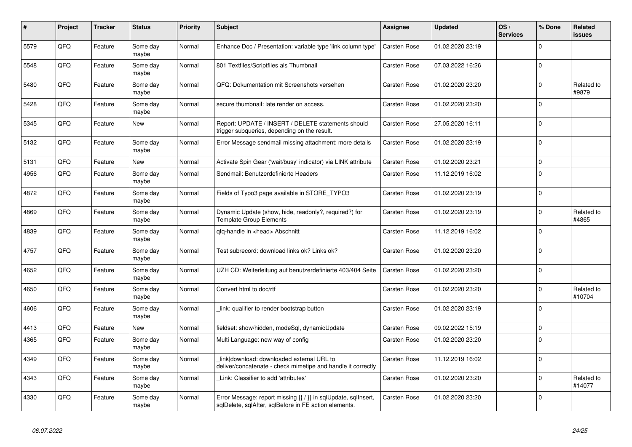| $\vert$ # | Project | <b>Tracker</b> | <b>Status</b>     | <b>Priority</b> | <b>Subject</b>                                                                                                                | Assignee     | <b>Updated</b>   | OS/<br><b>Services</b> | % Done      | Related<br>issues    |
|-----------|---------|----------------|-------------------|-----------------|-------------------------------------------------------------------------------------------------------------------------------|--------------|------------------|------------------------|-------------|----------------------|
| 5579      | QFQ     | Feature        | Some day<br>maybe | Normal          | Enhance Doc / Presentation: variable type 'link column type'                                                                  | Carsten Rose | 01.02.2020 23:19 |                        | $\Omega$    |                      |
| 5548      | QFQ     | Feature        | Some day<br>maybe | Normal          | 801 Textfiles/Scriptfiles als Thumbnail                                                                                       | Carsten Rose | 07.03.2022 16:26 |                        | $\Omega$    |                      |
| 5480      | QFQ     | Feature        | Some day<br>maybe | Normal          | QFQ: Dokumentation mit Screenshots versehen                                                                                   | Carsten Rose | 01.02.2020 23:20 |                        | $\Omega$    | Related to<br>#9879  |
| 5428      | QFQ     | Feature        | Some day<br>maybe | Normal          | secure thumbnail: late render on access.                                                                                      | Carsten Rose | 01.02.2020 23:20 |                        | $\Omega$    |                      |
| 5345      | QFQ     | Feature        | <b>New</b>        | Normal          | Report: UPDATE / INSERT / DELETE statements should<br>trigger subqueries, depending on the result.                            | Carsten Rose | 27.05.2020 16:11 |                        | $\Omega$    |                      |
| 5132      | QFQ     | Feature        | Some day<br>maybe | Normal          | Error Message sendmail missing attachment: more details                                                                       | Carsten Rose | 01.02.2020 23:19 |                        | $\Omega$    |                      |
| 5131      | QFQ     | Feature        | New               | Normal          | Activate Spin Gear ('wait/busy' indicator) via LINK attribute                                                                 | Carsten Rose | 01.02.2020 23:21 |                        | $\mathbf 0$ |                      |
| 4956      | QFQ     | Feature        | Some day<br>maybe | Normal          | Sendmail: Benutzerdefinierte Headers                                                                                          | Carsten Rose | 11.12.2019 16:02 |                        | $\mathbf 0$ |                      |
| 4872      | QFQ     | Feature        | Some day<br>maybe | Normal          | Fields of Typo3 page available in STORE TYPO3                                                                                 | Carsten Rose | 01.02.2020 23:19 |                        | $\Omega$    |                      |
| 4869      | QFQ     | Feature        | Some day<br>maybe | Normal          | Dynamic Update (show, hide, readonly?, required?) for<br><b>Template Group Elements</b>                                       | Carsten Rose | 01.02.2020 23:19 |                        | $\Omega$    | Related to<br>#4865  |
| 4839      | QFQ     | Feature        | Some day<br>maybe | Normal          | qfq-handle in <head> Abschnitt</head>                                                                                         | Carsten Rose | 11.12.2019 16:02 |                        | $\Omega$    |                      |
| 4757      | QFQ     | Feature        | Some day<br>maybe | Normal          | Test subrecord: download links ok? Links ok?                                                                                  | Carsten Rose | 01.02.2020 23:20 |                        | $\Omega$    |                      |
| 4652      | QFQ     | Feature        | Some day<br>maybe | Normal          | UZH CD: Weiterleitung auf benutzerdefinierte 403/404 Seite                                                                    | Carsten Rose | 01.02.2020 23:20 |                        | $\Omega$    |                      |
| 4650      | QFQ     | Feature        | Some day<br>maybe | Normal          | Convert html to doc/rtf                                                                                                       | Carsten Rose | 01.02.2020 23:20 |                        | $\mathbf 0$ | Related to<br>#10704 |
| 4606      | QFQ     | Feature        | Some day<br>maybe | Normal          | link: qualifier to render bootstrap button                                                                                    | Carsten Rose | 01.02.2020 23:19 |                        | $\Omega$    |                      |
| 4413      | QFQ     | Feature        | <b>New</b>        | Normal          | fieldset: show/hidden, modeSgl, dynamicUpdate                                                                                 | Carsten Rose | 09.02.2022 15:19 |                        | $\Omega$    |                      |
| 4365      | QFQ     | Feature        | Some day<br>maybe | Normal          | Multi Language: new way of config                                                                                             | Carsten Rose | 01.02.2020 23:20 |                        | $\Omega$    |                      |
| 4349      | QFQ     | Feature        | Some day<br>maybe | Normal          | link download: downloaded external URL to<br>deliver/concatenate - check mimetipe and handle it correctly                     | Carsten Rose | 11.12.2019 16:02 |                        | $\Omega$    |                      |
| 4343      | QFQ     | Feature        | Some day<br>maybe | Normal          | Link: Classifier to add 'attributes'                                                                                          | Carsten Rose | 01.02.2020 23:20 |                        | $\mathbf 0$ | Related to<br>#14077 |
| 4330      | QFQ     | Feature        | Some day<br>maybe | Normal          | Error Message: report missing $\{ \nmid \}$ in sqlUpdate, sqlInsert,<br>sqlDelete, sqlAfter, sqlBefore in FE action elements. | Carsten Rose | 01.02.2020 23:20 |                        | $\Omega$    |                      |